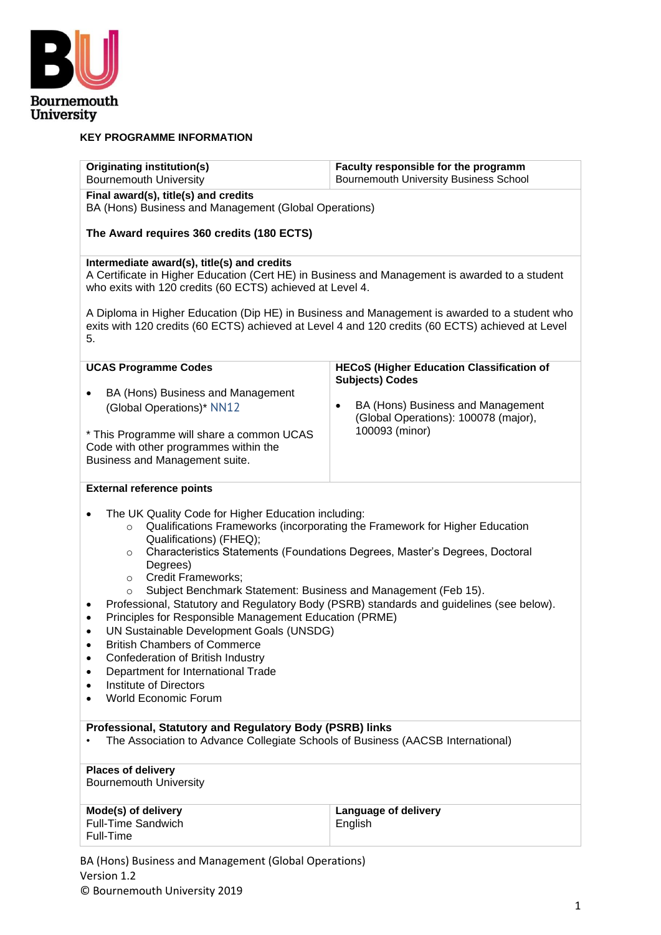

### **KEY PROGRAMME INFORMATION**

| <b>Originating institution(s)</b><br><b>Bournemouth University</b>                                                                                                                                                                                                                                                                                                                                                                                                                                                                                                                                                                                                                                                                                                                                                                                                                                           | Faculty responsible for the programm<br><b>Bournemouth University Business School</b>                    |  |  |  |  |
|--------------------------------------------------------------------------------------------------------------------------------------------------------------------------------------------------------------------------------------------------------------------------------------------------------------------------------------------------------------------------------------------------------------------------------------------------------------------------------------------------------------------------------------------------------------------------------------------------------------------------------------------------------------------------------------------------------------------------------------------------------------------------------------------------------------------------------------------------------------------------------------------------------------|----------------------------------------------------------------------------------------------------------|--|--|--|--|
| Final award(s), title(s) and credits<br>BA (Hons) Business and Management (Global Operations)                                                                                                                                                                                                                                                                                                                                                                                                                                                                                                                                                                                                                                                                                                                                                                                                                |                                                                                                          |  |  |  |  |
| The Award requires 360 credits (180 ECTS)                                                                                                                                                                                                                                                                                                                                                                                                                                                                                                                                                                                                                                                                                                                                                                                                                                                                    |                                                                                                          |  |  |  |  |
| Intermediate award(s), title(s) and credits<br>A Certificate in Higher Education (Cert HE) in Business and Management is awarded to a student<br>who exits with 120 credits (60 ECTS) achieved at Level 4.                                                                                                                                                                                                                                                                                                                                                                                                                                                                                                                                                                                                                                                                                                   |                                                                                                          |  |  |  |  |
| exits with 120 credits (60 ECTS) achieved at Level 4 and 120 credits (60 ECTS) achieved at Level<br>5.                                                                                                                                                                                                                                                                                                                                                                                                                                                                                                                                                                                                                                                                                                                                                                                                       | A Diploma in Higher Education (Dip HE) in Business and Management is awarded to a student who            |  |  |  |  |
| <b>UCAS Programme Codes</b>                                                                                                                                                                                                                                                                                                                                                                                                                                                                                                                                                                                                                                                                                                                                                                                                                                                                                  | <b>HECoS (Higher Education Classification of</b><br><b>Subjects) Codes</b>                               |  |  |  |  |
| BA (Hons) Business and Management<br>$\bullet$<br>(Global Operations)* NN12<br>* This Programme will share a common UCAS<br>Code with other programmes within the<br>Business and Management suite.                                                                                                                                                                                                                                                                                                                                                                                                                                                                                                                                                                                                                                                                                                          | BA (Hons) Business and Management<br>$\bullet$<br>(Global Operations): 100078 (major),<br>100093 (minor) |  |  |  |  |
| <b>External reference points</b>                                                                                                                                                                                                                                                                                                                                                                                                                                                                                                                                                                                                                                                                                                                                                                                                                                                                             |                                                                                                          |  |  |  |  |
| The UK Quality Code for Higher Education including:<br>$\bullet$<br>Qualifications Frameworks (incorporating the Framework for Higher Education<br>$\circ$<br>Qualifications) (FHEQ);<br>Characteristics Statements (Foundations Degrees, Master's Degrees, Doctoral<br>$\circ$<br>Degrees)<br><b>Credit Frameworks;</b><br>$\circ$<br>Subject Benchmark Statement: Business and Management (Feb 15).<br>$\circ$<br>Professional, Statutory and Regulatory Body (PSRB) standards and guidelines (see below).<br>$\bullet$<br>Principles for Responsible Management Education (PRME)<br>$\bullet$<br>UN Sustainable Development Goals (UNSDG)<br>$\bullet$<br><b>British Chambers of Commerce</b><br>$\bullet$<br>Confederation of British Industry<br>$\bullet$<br>Department for International Trade<br>$\bullet$<br><b>Institute of Directors</b><br>$\bullet$<br><b>World Economic Forum</b><br>$\bullet$ |                                                                                                          |  |  |  |  |
| Professional, Statutory and Regulatory Body (PSRB) links<br>The Association to Advance Collegiate Schools of Business (AACSB International)                                                                                                                                                                                                                                                                                                                                                                                                                                                                                                                                                                                                                                                                                                                                                                  |                                                                                                          |  |  |  |  |
| <b>Places of delivery</b><br><b>Bournemouth University</b>                                                                                                                                                                                                                                                                                                                                                                                                                                                                                                                                                                                                                                                                                                                                                                                                                                                   |                                                                                                          |  |  |  |  |
| Mode(s) of delivery<br>Language of delivery<br><b>Full-Time Sandwich</b><br>English<br>Full-Time                                                                                                                                                                                                                                                                                                                                                                                                                                                                                                                                                                                                                                                                                                                                                                                                             |                                                                                                          |  |  |  |  |
| BA (Hons) Business and Management (Global Operations)<br>Version 1.2                                                                                                                                                                                                                                                                                                                                                                                                                                                                                                                                                                                                                                                                                                                                                                                                                                         |                                                                                                          |  |  |  |  |

© Bournemouth University 2019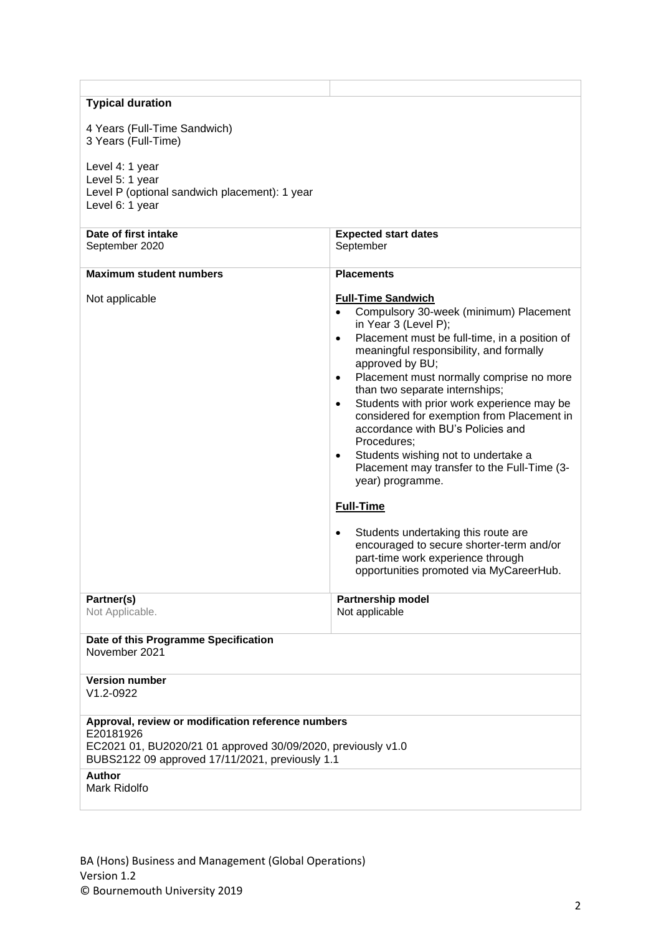| <b>Typical duration</b>                                                                                                         |                                                                                                                                                                                                                                                                                                                                                                                                                                                                                                                                                                                                                                                                                                                                                                                                                         |  |  |  |
|---------------------------------------------------------------------------------------------------------------------------------|-------------------------------------------------------------------------------------------------------------------------------------------------------------------------------------------------------------------------------------------------------------------------------------------------------------------------------------------------------------------------------------------------------------------------------------------------------------------------------------------------------------------------------------------------------------------------------------------------------------------------------------------------------------------------------------------------------------------------------------------------------------------------------------------------------------------------|--|--|--|
| 4 Years (Full-Time Sandwich)                                                                                                    |                                                                                                                                                                                                                                                                                                                                                                                                                                                                                                                                                                                                                                                                                                                                                                                                                         |  |  |  |
| 3 Years (Full-Time)                                                                                                             |                                                                                                                                                                                                                                                                                                                                                                                                                                                                                                                                                                                                                                                                                                                                                                                                                         |  |  |  |
| Level 4: 1 year<br>Level 5: 1 year<br>Level P (optional sandwich placement): 1 year<br>Level 6: 1 year                          |                                                                                                                                                                                                                                                                                                                                                                                                                                                                                                                                                                                                                                                                                                                                                                                                                         |  |  |  |
| Date of first intake                                                                                                            | <b>Expected start dates</b>                                                                                                                                                                                                                                                                                                                                                                                                                                                                                                                                                                                                                                                                                                                                                                                             |  |  |  |
| September 2020                                                                                                                  | September                                                                                                                                                                                                                                                                                                                                                                                                                                                                                                                                                                                                                                                                                                                                                                                                               |  |  |  |
| <b>Maximum student numbers</b>                                                                                                  | <b>Placements</b>                                                                                                                                                                                                                                                                                                                                                                                                                                                                                                                                                                                                                                                                                                                                                                                                       |  |  |  |
| Not applicable                                                                                                                  | <b>Full-Time Sandwich</b><br>Compulsory 30-week (minimum) Placement<br>$\bullet$<br>in Year 3 (Level P);<br>Placement must be full-time, in a position of<br>$\bullet$<br>meaningful responsibility, and formally<br>approved by BU;<br>Placement must normally comprise no more<br>$\bullet$<br>than two separate internships;<br>Students with prior work experience may be<br>$\bullet$<br>considered for exemption from Placement in<br>accordance with BU's Policies and<br>Procedures;<br>Students wishing not to undertake a<br>$\bullet$<br>Placement may transfer to the Full-Time (3-<br>year) programme.<br><b>Full-Time</b><br>Students undertaking this route are<br>$\bullet$<br>encouraged to secure shorter-term and/or<br>part-time work experience through<br>opportunities promoted via MyCareerHub. |  |  |  |
|                                                                                                                                 |                                                                                                                                                                                                                                                                                                                                                                                                                                                                                                                                                                                                                                                                                                                                                                                                                         |  |  |  |
| Partner(s)<br>Not Applicable.                                                                                                   | <b>Partnership model</b><br>Not applicable                                                                                                                                                                                                                                                                                                                                                                                                                                                                                                                                                                                                                                                                                                                                                                              |  |  |  |
| Date of this Programme Specification<br>November 2021                                                                           |                                                                                                                                                                                                                                                                                                                                                                                                                                                                                                                                                                                                                                                                                                                                                                                                                         |  |  |  |
| <b>Version number</b><br>$V1.2 - 0922$                                                                                          |                                                                                                                                                                                                                                                                                                                                                                                                                                                                                                                                                                                                                                                                                                                                                                                                                         |  |  |  |
| Approval, review or modification reference numbers<br>E20181926<br>EC2021 01, BU2020/21 01 approved 30/09/2020, previously v1.0 |                                                                                                                                                                                                                                                                                                                                                                                                                                                                                                                                                                                                                                                                                                                                                                                                                         |  |  |  |
| BUBS2122 09 approved 17/11/2021, previously 1.1                                                                                 |                                                                                                                                                                                                                                                                                                                                                                                                                                                                                                                                                                                                                                                                                                                                                                                                                         |  |  |  |
| <b>Author</b><br>Mark Ridolfo                                                                                                   |                                                                                                                                                                                                                                                                                                                                                                                                                                                                                                                                                                                                                                                                                                                                                                                                                         |  |  |  |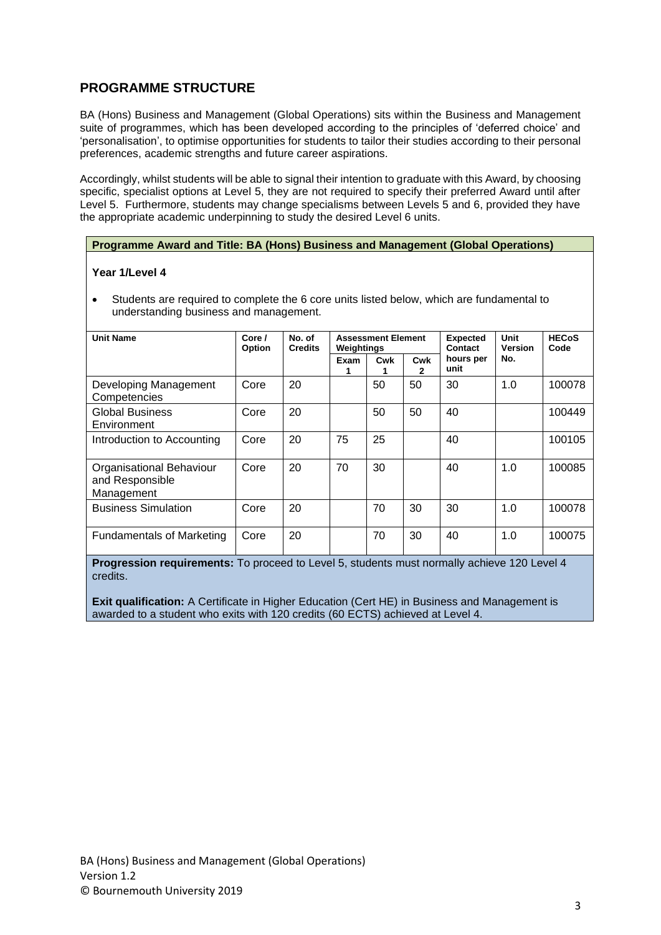## **PROGRAMME STRUCTURE**

BA (Hons) Business and Management (Global Operations) sits within the Business and Management suite of programmes, which has been developed according to the principles of 'deferred choice' and 'personalisation', to optimise opportunities for students to tailor their studies according to their personal preferences, academic strengths and future career aspirations.

Accordingly, whilst students will be able to signal their intention to graduate with this Award, by choosing specific, specialist options at Level 5, they are not required to specify their preferred Award until after Level 5. Furthermore, students may change specialisms between Levels 5 and 6, provided they have the appropriate academic underpinning to study the desired Level 6 units.

### **Programme Award and Title: BA (Hons) Business and Management (Global Operations)**

#### **Year 1/Level 4**

• Students are required to complete the 6 core units listed below, which are fundamental to understanding business and management.

| Unit Name                                                 | No. of<br>Core /<br><b>Credits</b><br><b>Option</b> |    | <b>Assessment Element</b><br>Weightings |     |          | <b>Expected</b><br>Contact | Unit<br><b>Version</b> | <b>HECoS</b><br>Code |
|-----------------------------------------------------------|-----------------------------------------------------|----|-----------------------------------------|-----|----------|----------------------------|------------------------|----------------------|
|                                                           |                                                     |    | Exam                                    | Cwk | Cwk<br>2 | hours per<br>unit          | No.                    |                      |
| Developing Management<br>Competencies                     | Core                                                | 20 |                                         | 50  | 50       | 30                         | 1.0                    | 100078               |
| <b>Global Business</b><br>Environment                     | Core                                                | 20 |                                         | 50  | 50       | 40                         |                        | 100449               |
| Introduction to Accounting                                | Core                                                | 20 | 75                                      | 25  |          | 40                         |                        | 100105               |
| Organisational Behaviour<br>and Responsible<br>Management | Core                                                | 20 | 70                                      | 30  |          | 40                         | 1.0                    | 100085               |
| <b>Business Simulation</b>                                | Core                                                | 20 |                                         | 70  | 30       | 30                         | 1.0                    | 100078               |
| <b>Fundamentals of Marketing</b>                          | Core                                                | 20 |                                         | 70  | 30       | 40                         | 1.0                    | 100075               |

**Progression requirements:** To proceed to Level 5, students must normally achieve 120 Level 4 credits.

**Exit qualification:** A Certificate in Higher Education (Cert HE) in Business and Management is awarded to a student who exits with 120 credits (60 ECTS) achieved at Level 4.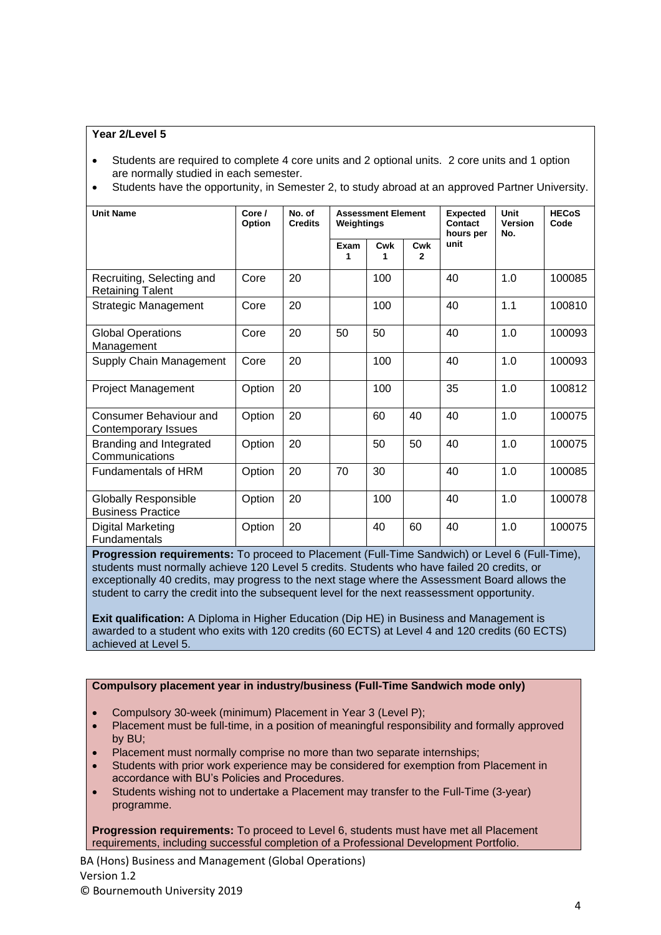### **Year 2/Level 5**

- Students are required to complete 4 core units and 2 optional units. 2 core units and 1 option are normally studied in each semester.
- Students have the opportunity, in Semester 2, to study abroad at an approved Partner University.

| <b>Unit Name</b>                                        | Core/<br>Option | No. of<br><b>Assessment Element</b><br><b>Credits</b><br>Weightings |           |          | <b>Expected</b><br><b>Contact</b><br>hours per | <b>Unit</b><br><b>Version</b><br>No. | <b>HECoS</b><br>Code |        |
|---------------------------------------------------------|-----------------|---------------------------------------------------------------------|-----------|----------|------------------------------------------------|--------------------------------------|----------------------|--------|
|                                                         |                 |                                                                     | Exam<br>1 | Cwk<br>1 | Cwk<br>$\mathbf{2}$                            | unit                                 |                      |        |
| Recruiting, Selecting and<br><b>Retaining Talent</b>    | Core            | 20                                                                  |           | 100      |                                                | 40                                   | 1.0                  | 100085 |
| <b>Strategic Management</b>                             | Core            | 20                                                                  |           | 100      |                                                | 40                                   | 1.1                  | 100810 |
| <b>Global Operations</b><br>Management                  | Core            | 20                                                                  | 50        | 50       |                                                | 40                                   | 1.0                  | 100093 |
| Supply Chain Management                                 | Core            | 20                                                                  |           | 100      |                                                | 40                                   | 1.0                  | 100093 |
| <b>Project Management</b>                               | Option          | 20                                                                  |           | 100      |                                                | 35                                   | 1.0                  | 100812 |
| Consumer Behaviour and<br>Contemporary Issues           | Option          | 20                                                                  |           | 60       | 40                                             | 40                                   | 1.0                  | 100075 |
| Branding and Integrated<br>Communications               | Option          | 20                                                                  |           | 50       | 50                                             | 40                                   | 1.0                  | 100075 |
| <b>Fundamentals of HRM</b>                              | Option          | 20                                                                  | 70        | 30       |                                                | 40                                   | 1.0                  | 100085 |
| <b>Globally Responsible</b><br><b>Business Practice</b> | Option          | 20                                                                  |           | 100      |                                                | 40                                   | 1.0                  | 100078 |
| <b>Digital Marketing</b><br><b>Fundamentals</b>         | Option          | 20                                                                  |           | 40       | 60                                             | 40                                   | 1.0                  | 100075 |

**Progression requirements:** To proceed to Placement (Full-Time Sandwich) or Level 6 (Full-Time), students must normally achieve 120 Level 5 credits. Students who have failed 20 credits, or exceptionally 40 credits, may progress to the next stage where the Assessment Board allows the student to carry the credit into the subsequent level for the next reassessment opportunity.

**Exit qualification:** A Diploma in Higher Education (Dip HE) in Business and Management is awarded to a student who exits with 120 credits (60 ECTS) at Level 4 and 120 credits (60 ECTS) achieved at Level 5.

### **Compulsory placement year in industry/business (Full-Time Sandwich mode only)**

- Compulsory 30-week (minimum) Placement in Year 3 (Level P);
- Placement must be full-time, in a position of meaningful responsibility and formally approved by BU;
- Placement must normally comprise no more than two separate internships;
- Students with prior work experience may be considered for exemption from Placement in accordance with BU's Policies and Procedures.
- Students wishing not to undertake a Placement may transfer to the Full-Time (3-year) programme.

**Progression requirements:** To proceed to Level 6, students must have met all Placement requirements, including successful completion of a Professional Development Portfolio.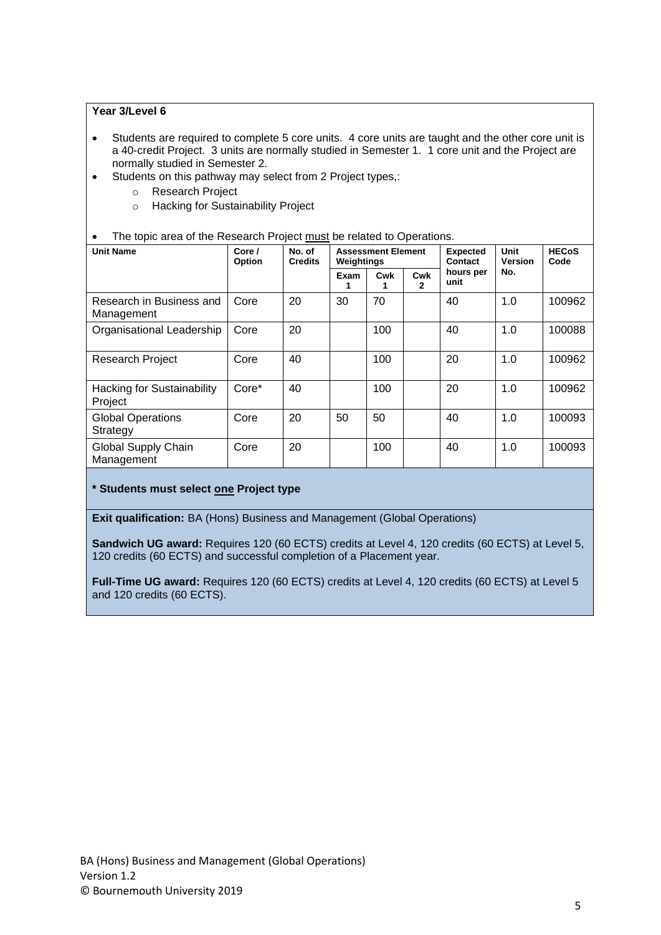### **Year 3/Level 6**

- Students are required to complete 5 core units. 4 core units are taught and the other core unit is a 40-credit Project. 3 units are normally studied in Semester 1. 1 core unit and the Project are normally studied in Semester 2.
- Students on this pathway may select from 2 Project types,:
	- o Research Project
	- o Hacking for Sustainability Project
- The topic area of the Research Project must be related to Operations.

| <b>Unit Name</b><br>Core /<br>Option         |       | No. of<br><b>Credits</b> | <b>Assessment Element</b><br>Weightings |     |          | <b>Expected</b><br>Contact | Unit<br><b>Version</b> | <b>HECoS</b><br>Code |
|----------------------------------------------|-------|--------------------------|-----------------------------------------|-----|----------|----------------------------|------------------------|----------------------|
|                                              |       |                          | Exam<br>1                               | Cwk | Cwk<br>2 | hours per<br>unit          | No.                    |                      |
| Research in Business and<br>Management       | Core  | 20                       | 30                                      | 70  |          | 40                         | 1.0                    | 100962               |
| Organisational Leadership                    | Core  | 20                       |                                         | 100 |          | 40                         | 1.0                    | 100088               |
| <b>Research Project</b>                      | Core  | 40                       |                                         | 100 |          | 20                         | 1.0                    | 100962               |
| <b>Hacking for Sustainability</b><br>Project | Core* | 40                       |                                         | 100 |          | 20                         | 1.0                    | 100962               |
| <b>Global Operations</b><br>Strategy         | Core  | 20                       | 50                                      | 50  |          | 40                         | 1.0                    | 100093               |
| Global Supply Chain<br>Management            | Core  | 20                       |                                         | 100 |          | 40                         | 1.0                    | 100093               |

### **\* Students must select one Project type**

**Exit qualification:** BA (Hons) Business and Management (Global Operations)

**Sandwich UG award:** Requires 120 (60 ECTS) credits at Level 4, 120 credits (60 ECTS) at Level 5, 120 credits (60 ECTS) and successful completion of a Placement year.

**Full-Time UG award:** Requires 120 (60 ECTS) credits at Level 4, 120 credits (60 ECTS) at Level 5 and 120 credits (60 ECTS).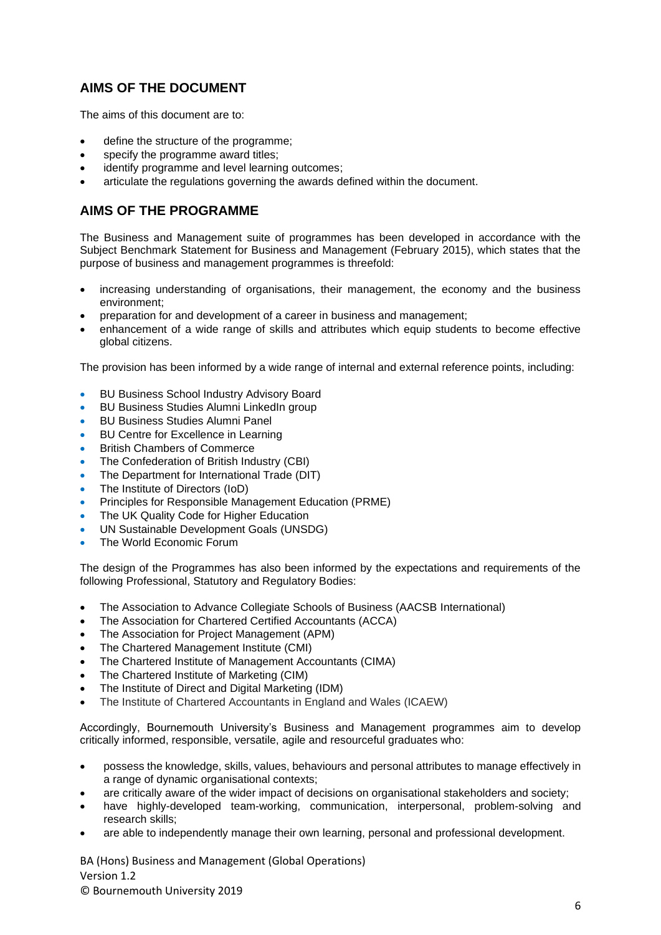## **AIMS OF THE DOCUMENT**

The aims of this document are to:

- define the structure of the programme;
- specify the programme award titles;
- identify programme and level learning outcomes:
- articulate the regulations governing the awards defined within the document.

### **AIMS OF THE PROGRAMME**

The Business and Management suite of programmes has been developed in accordance with the Subject Benchmark Statement for Business and Management (February 2015), which states that the purpose of business and management programmes is threefold:

- increasing understanding of organisations, their management, the economy and the business environment;
- preparation for and development of a career in business and management;
- enhancement of a wide range of skills and attributes which equip students to become effective global citizens.

The provision has been informed by a wide range of internal and external reference points, including:

- BU Business School Industry Advisory Board
- BU Business Studies Alumni LinkedIn group
- BU Business Studies Alumni Panel
- BU Centre for Excellence in Learning
- British Chambers of Commerce
- The Confederation of British Industry (CBI)
- The Department for International Trade (DIT)
- The Institute of Directors (IoD)
- Principles for Responsible Management Education (PRME)
- The UK Quality Code for Higher Education
- UN Sustainable Development Goals (UNSDG)
- The World Economic Forum

The design of the Programmes has also been informed by the expectations and requirements of the following Professional, Statutory and Regulatory Bodies:

- The Association to Advance Collegiate Schools of Business (AACSB International)
- The Association for Chartered Certified Accountants (ACCA)
- The Association for Project Management (APM)
- The Chartered Management Institute (CMI)
- The Chartered Institute of Management Accountants (CIMA)
- The Chartered Institute of Marketing (CIM)
- The Institute of Direct and Digital Marketing (IDM)
- The Institute of Chartered Accountants in England and Wales (ICAEW)

Accordingly, Bournemouth University's Business and Management programmes aim to develop critically informed, responsible, versatile, agile and resourceful graduates who:

- possess the knowledge, skills, values, behaviours and personal attributes to manage effectively in a range of dynamic organisational contexts;
- are critically aware of the wider impact of decisions on organisational stakeholders and society;
- have highly-developed team-working, communication, interpersonal, problem-solving and research skills;
- are able to independently manage their own learning, personal and professional development.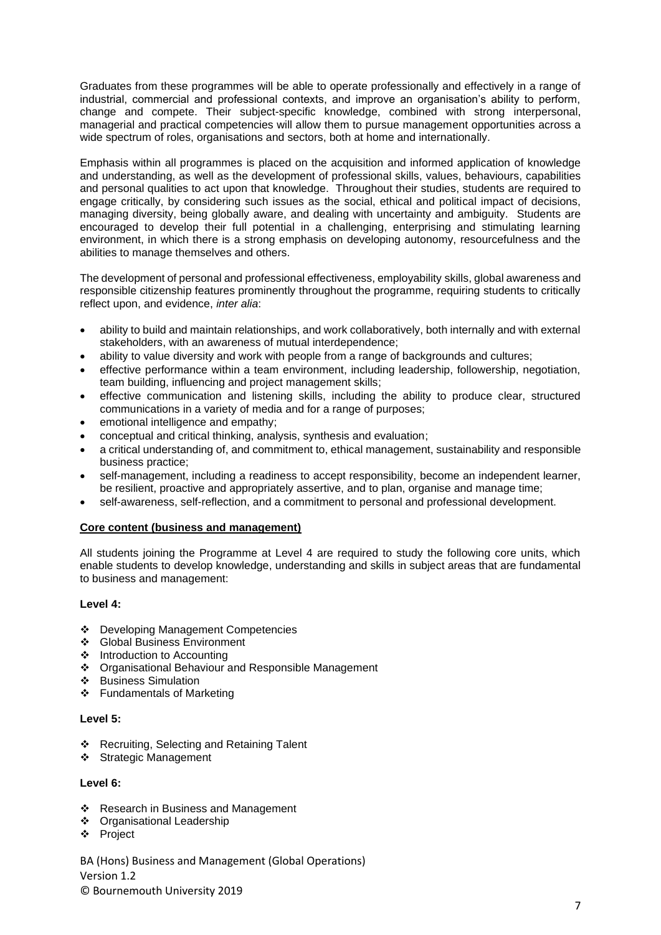Graduates from these programmes will be able to operate professionally and effectively in a range of industrial, commercial and professional contexts, and improve an organisation's ability to perform, change and compete. Their subject-specific knowledge, combined with strong interpersonal, managerial and practical competencies will allow them to pursue management opportunities across a wide spectrum of roles, organisations and sectors, both at home and internationally.

Emphasis within all programmes is placed on the acquisition and informed application of knowledge and understanding, as well as the development of professional skills, values, behaviours, capabilities and personal qualities to act upon that knowledge. Throughout their studies, students are required to engage critically, by considering such issues as the social, ethical and political impact of decisions, managing diversity, being globally aware, and dealing with uncertainty and ambiguity. Students are encouraged to develop their full potential in a challenging, enterprising and stimulating learning environment, in which there is a strong emphasis on developing autonomy, resourcefulness and the abilities to manage themselves and others.

The development of personal and professional effectiveness, employability skills, global awareness and responsible citizenship features prominently throughout the programme, requiring students to critically reflect upon, and evidence, *inter alia*:

- ability to build and maintain relationships, and work collaboratively, both internally and with external stakeholders, with an awareness of mutual interdependence;
- ability to value diversity and work with people from a range of backgrounds and cultures;
- effective performance within a team environment, including leadership, followership, negotiation, team building, influencing and project management skills;
- effective communication and listening skills, including the ability to produce clear, structured communications in a variety of media and for a range of purposes;
- emotional intelligence and empathy;
- conceptual and critical thinking, analysis, synthesis and evaluation;
- a critical understanding of, and commitment to, ethical management, sustainability and responsible business practice;
- self-management, including a readiness to accept responsibility, become an independent learner, be resilient, proactive and appropriately assertive, and to plan, organise and manage time;
- self-awareness, self-reflection, and a commitment to personal and professional development.

#### **Core content (business and management)**

All students joining the Programme at Level 4 are required to study the following core units, which enable students to develop knowledge, understanding and skills in subject areas that are fundamental to business and management:

#### **Level 4:**

- ❖ Developing Management Competencies
- ❖ Global Business Environment
- ❖ Introduction to Accounting
- ❖ Organisational Behaviour and Responsible Management
- ❖ Business Simulation
- ❖ Fundamentals of Marketing

#### **Level 5:**

- ❖ Recruiting, Selecting and Retaining Talent
- ❖ Strategic Management

#### **Level 6:**

- ❖ Research in Business and Management
- ❖ Organisational Leadership
- ❖ Project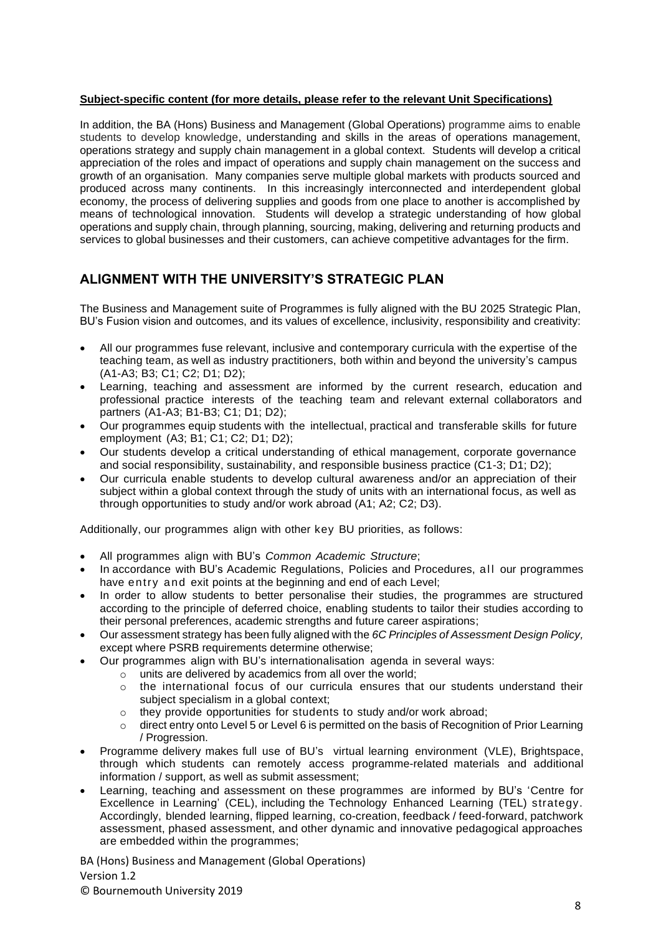### **Subject-specific content (for more details, please refer to the relevant Unit Specifications)**

In addition, the BA (Hons) Business and Management (Global Operations) programme aims to enable students to develop knowledge, understanding and skills in the areas of operations management, operations strategy and supply chain management in a global context. Students will develop a critical appreciation of the roles and impact of operations and supply chain management on the success and growth of an organisation. Many companies serve multiple global markets with products sourced and produced across many continents. In this increasingly interconnected and interdependent global economy, the process of delivering supplies and goods from one place to another is accomplished by means of technological innovation. Students will develop a strategic understanding of how global operations and supply chain, through planning, sourcing, making, delivering and returning products and services to global businesses and their customers, can achieve competitive advantages for the firm.

### **ALIGNMENT WITH THE UNIVERSITY'S STRATEGIC PLAN**

The Business and Management suite of Programmes is fully aligned with the BU 2025 Strategic Plan, BU's Fusion vision and outcomes, and its values of excellence, inclusivity, responsibility and creativity:

- All our programmes fuse relevant, inclusive and contemporary curricula with the expertise of the teaching team, as well as industry practitioners, both within and beyond the university's campus (A1-A3; B3; C1; C2; D1; D2);
- Learning, teaching and assessment are informed by the current research, education and professional practice interests of the teaching team and relevant external collaborators and partners (A1-A3; B1-B3; C1; D1; D2);
- Our programmes equip students with the intellectual, practical and transferable skills for future employment (A3; B1; C1; C2; D1; D2);
- Our students develop a critical understanding of ethical management, corporate governance and social responsibility, sustainability, and responsible business practice (C1-3; D1; D2);
- Our curricula enable students to develop cultural awareness and/or an appreciation of their subject within a global context through the study of units with an international focus, as well as through opportunities to study and/or work abroad (A1; A2; C2; D3).

Additionally, our programmes align with other key BU priorities, as follows:

- All programmes align with BU's *Common Academic Structure*;
- In accordance with BU's Academic Regulations, Policies and Procedures, a ll our programmes have entry and exit points at the beginning and end of each Level;
- In order to allow students to better personalise their studies, the programmes are structured according to the principle of deferred choice, enabling students to tailor their studies according to their personal preferences, academic strengths and future career aspirations;
- Our assessment strategy has been fully aligned with the *6C Principles of Assessment Design Policy,* except where PSRB requirements determine otherwise;
- Our programmes align with BU's internationalisation agenda in several ways:
	- o units are delivered by academics from all over the world;
		- o the international focus of our curricula ensures that our students understand their subject specialism in a global context;
		- o they provide opportunities for students to study and/or work abroad;
		- o direct entry onto Level 5 or Level 6 is permitted on the basis of Recognition of Prior Learning / Progression.
- Programme delivery makes full use of BU's virtual learning environment (VLE), Brightspace, through which students can remotely access programme-related materials and additional information / support, as well as submit assessment;
- Learning, teaching and assessment on these programmes are informed by BU's 'Centre for Excellence in Learning' (CEL), including the Technology Enhanced Learning (TEL) strategy. Accordingly, blended learning, flipped learning, co-creation, feedback / feed-forward, patchwork assessment, phased assessment, and other dynamic and innovative pedagogical approaches are embedded within the programmes;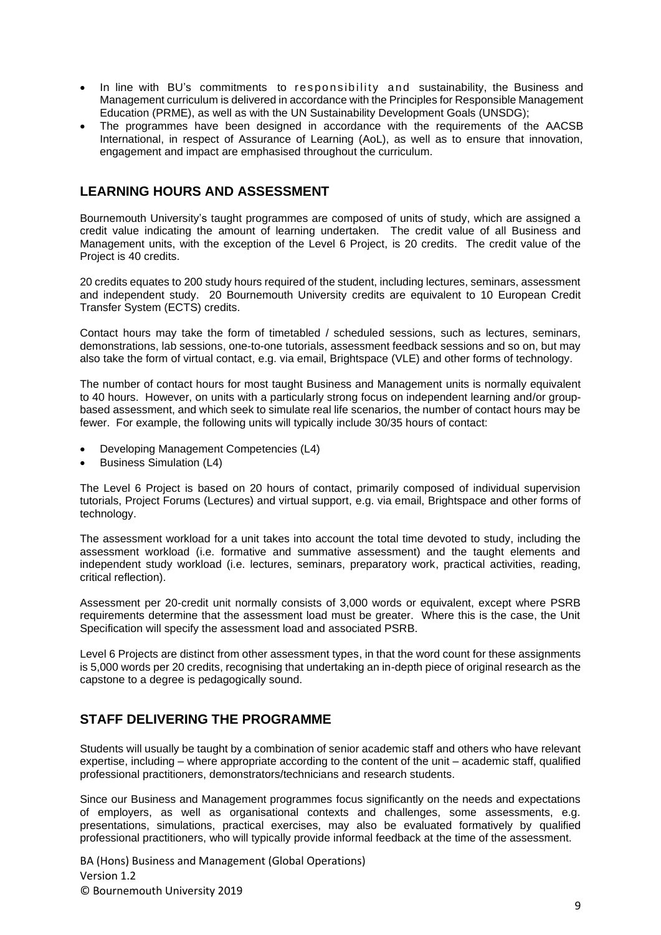- In line with BU's commitments to responsibility and sustainability, the Business and Management curriculum is delivered in accordance with the Principles for Responsible Management Education (PRME), as well as with the UN Sustainability Development Goals (UNSDG);
- The programmes have been designed in accordance with the requirements of the AACSB International, in respect of Assurance of Learning (AoL), as well as to ensure that innovation, engagement and impact are emphasised throughout the curriculum.

### **LEARNING HOURS AND ASSESSMENT**

Bournemouth University's taught programmes are composed of units of study, which are assigned a credit value indicating the amount of learning undertaken. The credit value of all Business and Management units, with the exception of the Level 6 Project, is 20 credits. The credit value of the Project is 40 credits.

20 credits equates to 200 study hours required of the student, including lectures, seminars, assessment and independent study. 20 Bournemouth University credits are equivalent to 10 European Credit Transfer System (ECTS) credits.

Contact hours may take the form of timetabled / scheduled sessions, such as lectures, seminars, demonstrations, lab sessions, one-to-one tutorials, assessment feedback sessions and so on, but may also take the form of virtual contact, e.g. via email, Brightspace (VLE) and other forms of technology.

The number of contact hours for most taught Business and Management units is normally equivalent to 40 hours. However, on units with a particularly strong focus on independent learning and/or groupbased assessment, and which seek to simulate real life scenarios, the number of contact hours may be fewer. For example, the following units will typically include 30/35 hours of contact:

- Developing Management Competencies (L4)
- Business Simulation (L4)

The Level 6 Project is based on 20 hours of contact, primarily composed of individual supervision tutorials, Project Forums (Lectures) and virtual support, e.g. via email, Brightspace and other forms of technology.

The assessment workload for a unit takes into account the total time devoted to study, including the assessment workload (i.e. formative and summative assessment) and the taught elements and independent study workload (i.e. lectures, seminars, preparatory work, practical activities, reading, critical reflection).

Assessment per 20-credit unit normally consists of 3,000 words or equivalent, except where PSRB requirements determine that the assessment load must be greater. Where this is the case, the Unit Specification will specify the assessment load and associated PSRB.

Level 6 Projects are distinct from other assessment types, in that the word count for these assignments is 5,000 words per 20 credits, recognising that undertaking an in-depth piece of original research as the capstone to a degree is pedagogically sound.

## **STAFF DELIVERING THE PROGRAMME**

Students will usually be taught by a combination of senior academic staff and others who have relevant expertise, including – where appropriate according to the content of the unit – academic staff, qualified professional practitioners, demonstrators/technicians and research students.

Since our Business and Management programmes focus significantly on the needs and expectations of employers, as well as organisational contexts and challenges, some assessments, e.g. presentations, simulations, practical exercises, may also be evaluated formatively by qualified professional practitioners, who will typically provide informal feedback at the time of the assessment.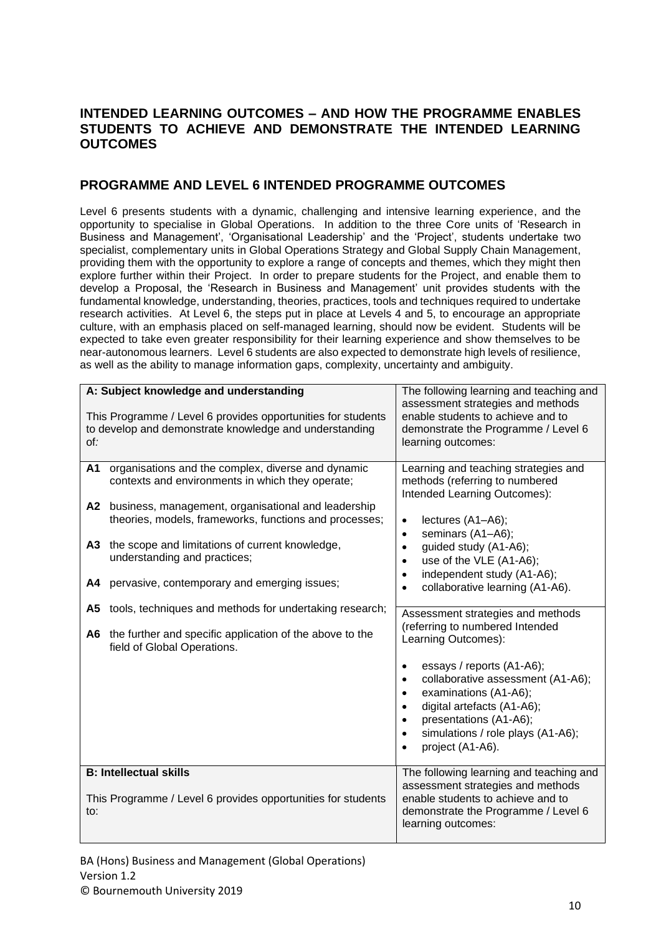## **INTENDED LEARNING OUTCOMES – AND HOW THE PROGRAMME ENABLES STUDENTS TO ACHIEVE AND DEMONSTRATE THE INTENDED LEARNING OUTCOMES**

### **PROGRAMME AND LEVEL 6 INTENDED PROGRAMME OUTCOMES**

Level 6 presents students with a dynamic, challenging and intensive learning experience, and the opportunity to specialise in Global Operations. In addition to the three Core units of 'Research in Business and Management', 'Organisational Leadership' and the 'Project', students undertake two specialist, complementary units in Global Operations Strategy and Global Supply Chain Management, providing them with the opportunity to explore a range of concepts and themes, which they might then explore further within their Project. In order to prepare students for the Project, and enable them to develop a Proposal, the 'Research in Business and Management' unit provides students with the fundamental knowledge, understanding, theories, practices, tools and techniques required to undertake research activities. At Level 6, the steps put in place at Levels 4 and 5, to encourage an appropriate culture, with an emphasis placed on self-managed learning, should now be evident. Students will be expected to take even greater responsibility for their learning experience and show themselves to be near-autonomous learners. Level 6 students are also expected to demonstrate high levels of resilience, as well as the ability to manage information gaps, complexity, uncertainty and ambiguity.

|                | A: Subject knowledge and understanding                                                                                                                                                                                                                                                                                                                        | The following learning and teaching and                                                                                                                                                                                                                                                                                                     |
|----------------|---------------------------------------------------------------------------------------------------------------------------------------------------------------------------------------------------------------------------------------------------------------------------------------------------------------------------------------------------------------|---------------------------------------------------------------------------------------------------------------------------------------------------------------------------------------------------------------------------------------------------------------------------------------------------------------------------------------------|
| of:            | This Programme / Level 6 provides opportunities for students<br>to develop and demonstrate knowledge and understanding                                                                                                                                                                                                                                        | assessment strategies and methods<br>enable students to achieve and to<br>demonstrate the Programme / Level 6<br>learning outcomes:                                                                                                                                                                                                         |
| A1<br>A3<br>А4 | organisations and the complex, diverse and dynamic<br>contexts and environments in which they operate;<br>A2 business, management, organisational and leadership<br>theories, models, frameworks, functions and processes;<br>the scope and limitations of current knowledge,<br>understanding and practices;<br>pervasive, contemporary and emerging issues; | Learning and teaching strategies and<br>methods (referring to numbered<br>Intended Learning Outcomes):<br>lectures (A1-A6);<br>$\bullet$<br>seminars (A1-A6);<br>٠<br>guided study (A1-A6);<br>$\bullet$<br>use of the VLE (A1-A6);<br>$\bullet$<br>independent study (A1-A6);<br>$\bullet$<br>collaborative learning (A1-A6).<br>$\bullet$ |
| A5             | tools, techniques and methods for undertaking research;                                                                                                                                                                                                                                                                                                       |                                                                                                                                                                                                                                                                                                                                             |
| A6             | the further and specific application of the above to the<br>field of Global Operations.                                                                                                                                                                                                                                                                       | Assessment strategies and methods<br>(referring to numbered Intended<br>Learning Outcomes):<br>essays / reports (A1-A6);<br>$\bullet$                                                                                                                                                                                                       |
|                |                                                                                                                                                                                                                                                                                                                                                               | collaborative assessment (A1-A6);<br>$\bullet$<br>examinations (A1-A6);<br>$\bullet$<br>digital artefacts (A1-A6);<br>$\bullet$<br>presentations (A1-A6);<br>$\bullet$<br>simulations / role plays (A1-A6);<br>$\bullet$<br>project (A1-A6).                                                                                                |
|                | <b>B: Intellectual skills</b>                                                                                                                                                                                                                                                                                                                                 | The following learning and teaching and                                                                                                                                                                                                                                                                                                     |
| to:            | This Programme / Level 6 provides opportunities for students                                                                                                                                                                                                                                                                                                  | assessment strategies and methods<br>enable students to achieve and to<br>demonstrate the Programme / Level 6<br>learning outcomes:                                                                                                                                                                                                         |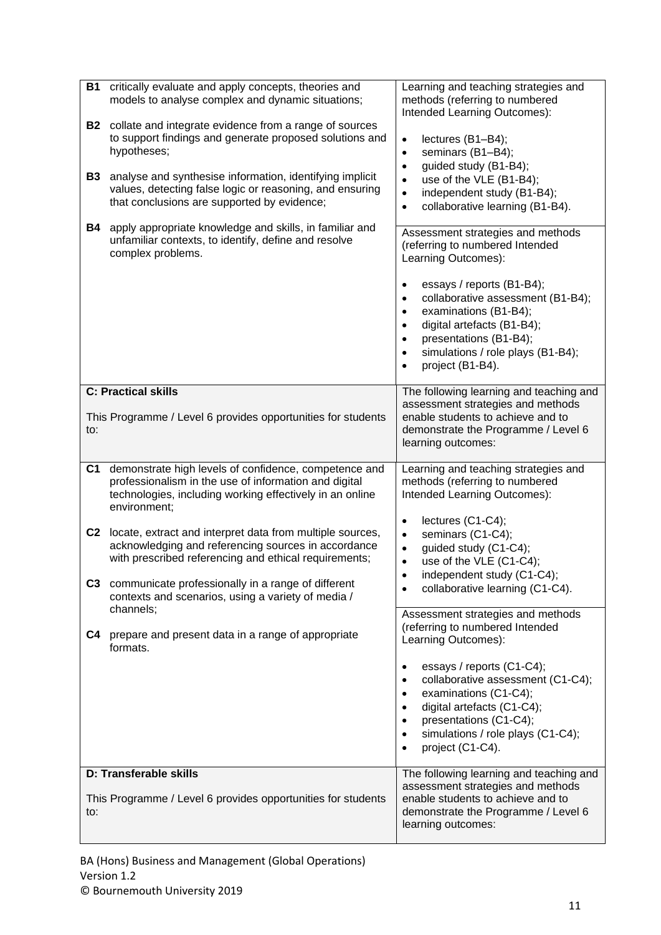| B1<br><b>B2</b><br><b>B3</b><br>B4                       | critically evaluate and apply concepts, theories and<br>models to analyse complex and dynamic situations;<br>collate and integrate evidence from a range of sources<br>to support findings and generate proposed solutions and<br>hypotheses;<br>analyse and synthesise information, identifying implicit<br>values, detecting false logic or reasoning, and ensuring<br>that conclusions are supported by evidence;<br>apply appropriate knowledge and skills, in familiar and<br>unfamiliar contexts, to identify, define and resolve<br>complex problems.       | Learning and teaching strategies and<br>methods (referring to numbered<br>Intended Learning Outcomes):<br>lectures (B1-B4);<br>$\bullet$<br>seminars (B1-B4);<br>$\bullet$<br>guided study (B1-B4);<br>$\bullet$<br>use of the VLE (B1-B4);<br>$\bullet$<br>independent study (B1-B4);<br>$\bullet$<br>collaborative learning (B1-B4).<br>$\bullet$<br>Assessment strategies and methods<br>(referring to numbered Intended<br>Learning Outcomes):<br>essays / reports (B1-B4);<br>$\bullet$<br>collaborative assessment (B1-B4);<br>$\bullet$<br>examinations (B1-B4);<br>$\bullet$<br>digital artefacts (B1-B4);<br>$\bullet$<br>presentations (B1-B4);<br>$\bullet$<br>simulations / role plays (B1-B4);<br>$\bullet$<br>project (B1-B4).<br>$\bullet$ |
|----------------------------------------------------------|--------------------------------------------------------------------------------------------------------------------------------------------------------------------------------------------------------------------------------------------------------------------------------------------------------------------------------------------------------------------------------------------------------------------------------------------------------------------------------------------------------------------------------------------------------------------|-----------------------------------------------------------------------------------------------------------------------------------------------------------------------------------------------------------------------------------------------------------------------------------------------------------------------------------------------------------------------------------------------------------------------------------------------------------------------------------------------------------------------------------------------------------------------------------------------------------------------------------------------------------------------------------------------------------------------------------------------------------|
| to:                                                      | <b>C: Practical skills</b><br>This Programme / Level 6 provides opportunities for students                                                                                                                                                                                                                                                                                                                                                                                                                                                                         | The following learning and teaching and<br>assessment strategies and methods<br>enable students to achieve and to<br>demonstrate the Programme / Level 6<br>learning outcomes:                                                                                                                                                                                                                                                                                                                                                                                                                                                                                                                                                                            |
| C <sub>1</sub><br>C <sub>2</sub><br>C <sub>3</sub><br>C4 | demonstrate high levels of confidence, competence and<br>professionalism in the use of information and digital<br>technologies, including working effectively in an online<br>environment;<br>locate, extract and interpret data from multiple sources,<br>acknowledging and referencing sources in accordance<br>with prescribed referencing and ethical requirements;<br>communicate professionally in a range of different<br>contexts and scenarios, using a variety of media /<br>channels;<br>prepare and present data in a range of appropriate<br>formats. | Learning and teaching strategies and<br>methods (referring to numbered<br>Intended Learning Outcomes):<br>lectures (C1-C4);<br>$\bullet$<br>seminars (C1-C4);<br>$\bullet$<br>guided study (C1-C4);<br>$\bullet$<br>use of the VLE (C1-C4);<br>$\bullet$<br>independent study (C1-C4);<br>collaborative learning (C1-C4).<br>Assessment strategies and methods<br>(referring to numbered Intended<br>Learning Outcomes):<br>essays / reports (C1-C4);<br>$\bullet$<br>collaborative assessment (C1-C4);<br>$\bullet$<br>examinations (C1-C4);<br>$\bullet$                                                                                                                                                                                                |
|                                                          | D: Transferable skills<br>This Programme / Level 6 provides opportunities for students                                                                                                                                                                                                                                                                                                                                                                                                                                                                             | digital artefacts (C1-C4);<br>$\bullet$<br>presentations (C1-C4);<br>$\bullet$<br>simulations / role plays (C1-C4);<br>$\bullet$<br>project (C1-C4).<br>$\bullet$<br>The following learning and teaching and<br>assessment strategies and methods<br>enable students to achieve and to                                                                                                                                                                                                                                                                                                                                                                                                                                                                    |
| to:                                                      |                                                                                                                                                                                                                                                                                                                                                                                                                                                                                                                                                                    | demonstrate the Programme / Level 6<br>learning outcomes:                                                                                                                                                                                                                                                                                                                                                                                                                                                                                                                                                                                                                                                                                                 |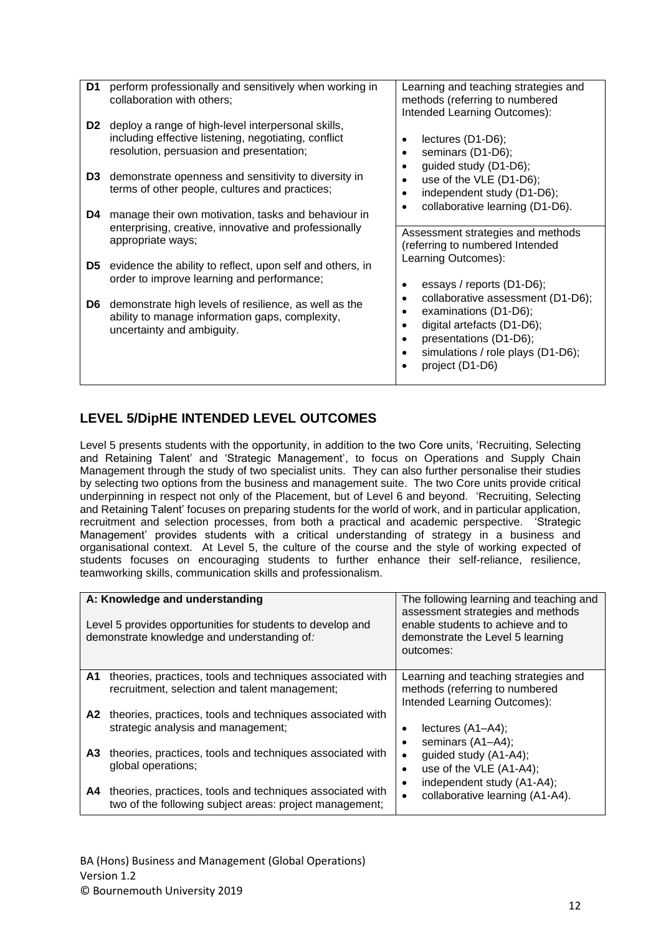| D1             | perform professionally and sensitively when working in              | Learning and teaching strategies and           |
|----------------|---------------------------------------------------------------------|------------------------------------------------|
|                | collaboration with others;                                          | methods (referring to numbered                 |
|                |                                                                     | Intended Learning Outcomes):                   |
| D <sub>2</sub> |                                                                     |                                                |
|                | deploy a range of high-level interpersonal skills,                  |                                                |
|                | including effective listening, negotiating, conflict                | lectures (D1-D6);                              |
|                | resolution, persuasion and presentation;                            | seminars (D1-D6);<br>$\bullet$                 |
|                |                                                                     | guided study (D1-D6);                          |
| D <sub>3</sub> | demonstrate openness and sensitivity to diversity in                |                                                |
|                |                                                                     | use of the VLE (D1-D6);                        |
|                | terms of other people, cultures and practices;                      | independent study (D1-D6);                     |
|                |                                                                     | collaborative learning (D1-D6).                |
| D4             | manage their own motivation, tasks and behaviour in                 |                                                |
|                | enterprising, creative, innovative and professionally               |                                                |
|                | appropriate ways;                                                   | Assessment strategies and methods              |
|                |                                                                     | (referring to numbered Intended                |
|                |                                                                     | Learning Outcomes):                            |
|                | <b>D5</b> evidence the ability to reflect, upon self and others, in |                                                |
|                | order to improve learning and performance;                          | essays / reports (D1-D6);<br>$\bullet$         |
|                |                                                                     | collaborative assessment (D1-D6);              |
| D6             | demonstrate high levels of resilience, as well as the               |                                                |
|                | ability to manage information gaps, complexity,                     | examinations (D1-D6);                          |
|                | uncertainty and ambiguity.                                          | digital artefacts (D1-D6);                     |
|                |                                                                     | presentations (D1-D6);                         |
|                |                                                                     |                                                |
|                |                                                                     | simulations / role plays (D1-D6);<br>$\bullet$ |
|                |                                                                     | project (D1-D6)                                |
|                |                                                                     |                                                |

## **LEVEL 5/DipHE INTENDED LEVEL OUTCOMES**

Level 5 presents students with the opportunity, in addition to the two Core units, 'Recruiting, Selecting and Retaining Talent' and 'Strategic Management', to focus on Operations and Supply Chain Management through the study of two specialist units. They can also further personalise their studies by selecting two options from the business and management suite. The two Core units provide critical underpinning in respect not only of the Placement, but of Level 6 and beyond. 'Recruiting, Selecting and Retaining Talent' focuses on preparing students for the world of work, and in particular application, recruitment and selection processes, from both a practical and academic perspective. 'Strategic Management' provides students with a critical understanding of strategy in a business and organisational context. At Level 5, the culture of the course and the style of working expected of students focuses on encouraging students to further enhance their self-reliance, resilience, teamworking skills, communication skills and professionalism.

|          | A: Knowledge and understanding<br>Level 5 provides opportunities for students to develop and<br>demonstrate knowledge and understanding of:                             | The following learning and teaching and<br>assessment strategies and methods<br>enable students to achieve and to<br>demonstrate the Level 5 learning<br>outcomes: |
|----------|-------------------------------------------------------------------------------------------------------------------------------------------------------------------------|--------------------------------------------------------------------------------------------------------------------------------------------------------------------|
| A1<br>A2 | theories, practices, tools and techniques associated with<br>recruitment, selection and talent management;<br>theories, practices, tools and techniques associated with | Learning and teaching strategies and<br>methods (referring to numbered<br>Intended Learning Outcomes):                                                             |
| A3       | strategic analysis and management;<br>theories, practices, tools and techniques associated with                                                                         | lectures (A1-A4);<br>٠<br>seminars (A1-A4);<br>guided study (A1-A4);<br>$\bullet$                                                                                  |
| A4       | global operations;<br>theories, practices, tools and techniques associated with<br>two of the following subject areas: project management;                              | use of the VLE (A1-A4);<br>٠<br>independent study (A1-A4);<br>٠<br>collaborative learning (A1-A4).<br>$\bullet$                                                    |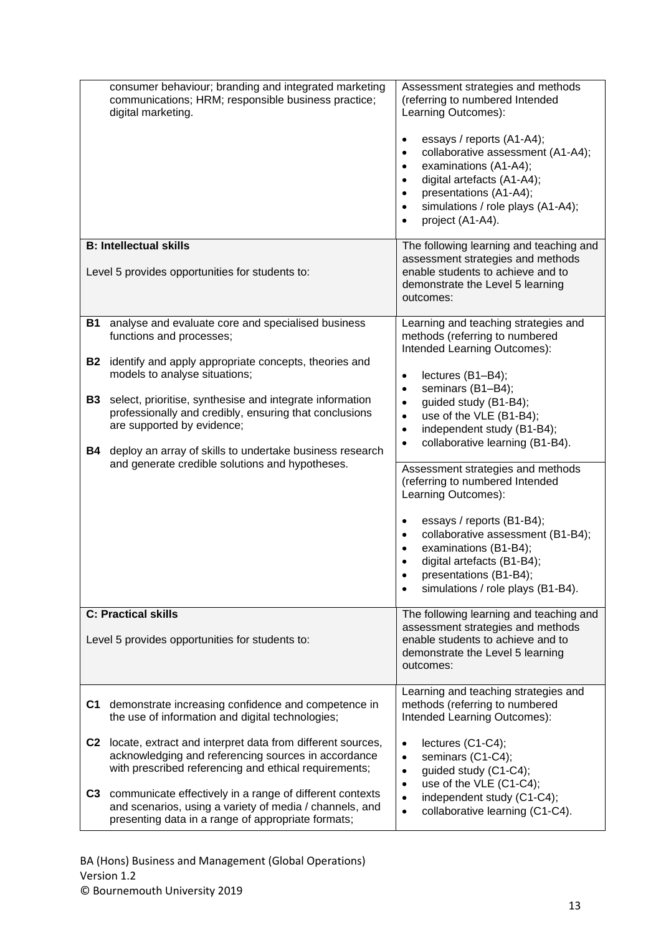| <b>B: Intellectual skills</b> | consumer behaviour; branding and integrated marketing<br>communications; HRM; responsible business practice;<br>digital marketing.<br>Level 5 provides opportunities for students to:                        | Assessment strategies and methods<br>(referring to numbered Intended<br>Learning Outcomes):<br>essays / reports (A1-A4);<br>$\bullet$<br>collaborative assessment (A1-A4);<br>$\bullet$<br>examinations (A1-A4);<br>$\bullet$<br>digital artefacts (A1-A4);<br>$\bullet$<br>presentations (A1-A4);<br>$\bullet$<br>simulations / role plays (A1-A4);<br>$\bullet$<br>project (A1-A4).<br>$\bullet$<br>The following learning and teaching and<br>assessment strategies and methods<br>enable students to achieve and to<br>demonstrate the Level 5 learning<br>outcomes: |
|-------------------------------|--------------------------------------------------------------------------------------------------------------------------------------------------------------------------------------------------------------|--------------------------------------------------------------------------------------------------------------------------------------------------------------------------------------------------------------------------------------------------------------------------------------------------------------------------------------------------------------------------------------------------------------------------------------------------------------------------------------------------------------------------------------------------------------------------|
| B1                            | analyse and evaluate core and specialised business<br>functions and processes;                                                                                                                               | Learning and teaching strategies and<br>methods (referring to numbered<br>Intended Learning Outcomes):                                                                                                                                                                                                                                                                                                                                                                                                                                                                   |
| B2                            | identify and apply appropriate concepts, theories and<br>models to analyse situations;                                                                                                                       | lectures (B1-B4);<br>$\bullet$<br>seminars (B1-B4);<br>$\bullet$                                                                                                                                                                                                                                                                                                                                                                                                                                                                                                         |
| B3<br><b>B4</b>               | select, prioritise, synthesise and integrate information<br>professionally and credibly, ensuring that conclusions<br>are supported by evidence;<br>deploy an array of skills to undertake business research | guided study (B1-B4);<br>$\bullet$<br>use of the VLE (B1-B4);<br>$\bullet$<br>independent study (B1-B4);<br>$\bullet$<br>collaborative learning (B1-B4).<br>$\bullet$                                                                                                                                                                                                                                                                                                                                                                                                    |
|                               | and generate credible solutions and hypotheses.                                                                                                                                                              | Assessment strategies and methods<br>(referring to numbered Intended<br>Learning Outcomes):                                                                                                                                                                                                                                                                                                                                                                                                                                                                              |
|                               |                                                                                                                                                                                                              | essays / reports (B1-B4);<br>$\bullet$<br>collaborative assessment (B1-B4);<br>$\bullet$<br>examinations (B1-B4);<br>$\bullet$<br>digital artefacts (B1-B4);<br>$\bullet$<br>presentations (B1-B4);<br>simulations / role plays (B1-B4).                                                                                                                                                                                                                                                                                                                                 |
| <b>C: Practical skills</b>    |                                                                                                                                                                                                              | The following learning and teaching and<br>assessment strategies and methods                                                                                                                                                                                                                                                                                                                                                                                                                                                                                             |
|                               | Level 5 provides opportunities for students to:                                                                                                                                                              | enable students to achieve and to<br>demonstrate the Level 5 learning<br>outcomes:                                                                                                                                                                                                                                                                                                                                                                                                                                                                                       |
| C1                            | demonstrate increasing confidence and competence in<br>the use of information and digital technologies;                                                                                                      | Learning and teaching strategies and<br>methods (referring to numbered<br>Intended Learning Outcomes):                                                                                                                                                                                                                                                                                                                                                                                                                                                                   |
|                               | C2 locate, extract and interpret data from different sources,<br>acknowledging and referencing sources in accordance<br>with prescribed referencing and ethical requirements;                                | lectures (C1-C4);<br>$\bullet$<br>seminars (C1-C4);<br>$\bullet$<br>guided study (C1-C4);<br>$\bullet$<br>use of the VLE (C1-C4);                                                                                                                                                                                                                                                                                                                                                                                                                                        |
|                               | C3 communicate effectively in a range of different contexts<br>and scenarios, using a variety of media / channels, and<br>presenting data in a range of appropriate formats;                                 | $\bullet$<br>independent study (C1-C4);<br>$\bullet$<br>collaborative learning (C1-C4).<br>$\bullet$                                                                                                                                                                                                                                                                                                                                                                                                                                                                     |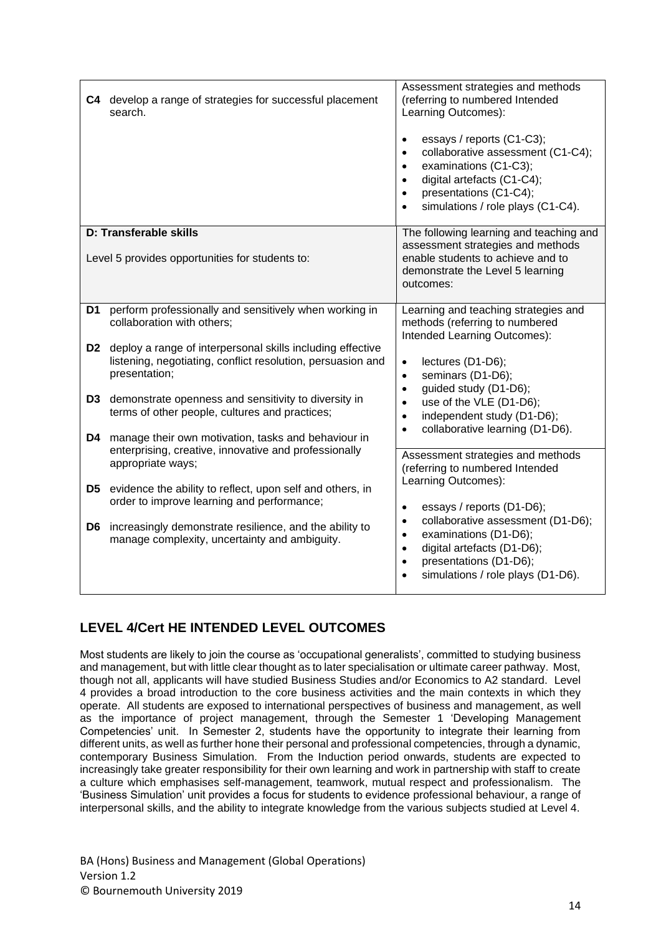|                | C4 develop a range of strategies for successful placement<br>search.                                                                       | Assessment strategies and methods<br>(referring to numbered Intended<br>Learning Outcomes):<br>essays / reports (C1-C3);<br>$\bullet$<br>collaborative assessment (C1-C4);<br>$\bullet$<br>examinations (C1-C3);<br>$\bullet$<br>digital artefacts (C1-C4);<br>$\bullet$<br>presentations (C1-C4);<br>$\bullet$<br>simulations / role plays (C1-C4).<br>$\bullet$ |
|----------------|--------------------------------------------------------------------------------------------------------------------------------------------|-------------------------------------------------------------------------------------------------------------------------------------------------------------------------------------------------------------------------------------------------------------------------------------------------------------------------------------------------------------------|
|                | D: Transferable skills                                                                                                                     | The following learning and teaching and<br>assessment strategies and methods                                                                                                                                                                                                                                                                                      |
|                | Level 5 provides opportunities for students to:                                                                                            | enable students to achieve and to<br>demonstrate the Level 5 learning<br>outcomes:                                                                                                                                                                                                                                                                                |
| D1             | perform professionally and sensitively when working in<br>collaboration with others;                                                       | Learning and teaching strategies and<br>methods (referring to numbered<br>Intended Learning Outcomes):                                                                                                                                                                                                                                                            |
| D <sub>2</sub> | deploy a range of interpersonal skills including effective<br>listening, negotiating, conflict resolution, persuasion and<br>presentation; | $\bullet$<br>lectures (D1-D6);<br>seminars (D1-D6);<br>$\bullet$<br>guided study (D1-D6);<br>$\bullet$                                                                                                                                                                                                                                                            |
| D <sub>3</sub> | demonstrate openness and sensitivity to diversity in<br>terms of other people, cultures and practices;                                     | use of the VLE (D1-D6);<br>$\bullet$<br>independent study (D1-D6);<br>$\bullet$                                                                                                                                                                                                                                                                                   |
| D4             | manage their own motivation, tasks and behaviour in<br>enterprising, creative, innovative and professionally<br>appropriate ways;          | collaborative learning (D1-D6).<br>$\bullet$<br>Assessment strategies and methods<br>(referring to numbered Intended                                                                                                                                                                                                                                              |
| D <sub>5</sub> | evidence the ability to reflect, upon self and others, in<br>order to improve learning and performance;                                    | Learning Outcomes):<br>essays / reports (D1-D6);<br>$\bullet$                                                                                                                                                                                                                                                                                                     |
| D <sub>6</sub> | increasingly demonstrate resilience, and the ability to<br>manage complexity, uncertainty and ambiguity.                                   | collaborative assessment (D1-D6);<br>$\bullet$<br>examinations (D1-D6);<br>$\bullet$<br>digital artefacts (D1-D6);<br>$\bullet$<br>presentations (D1-D6);<br>$\bullet$<br>simulations / role plays (D1-D6).<br>$\bullet$                                                                                                                                          |

## **LEVEL 4/Cert HE INTENDED LEVEL OUTCOMES**

Most students are likely to join the course as 'occupational generalists', committed to studying business and management, but with little clear thought as to later specialisation or ultimate career pathway. Most, though not all, applicants will have studied Business Studies and/or Economics to A2 standard. Level 4 provides a broad introduction to the core business activities and the main contexts in which they operate. All students are exposed to international perspectives of business and management, as well as the importance of project management, through the Semester 1 'Developing Management Competencies' unit. In Semester 2, students have the opportunity to integrate their learning from different units, as well as further hone their personal and professional competencies, through a dynamic, contemporary Business Simulation. From the Induction period onwards, students are expected to increasingly take greater responsibility for their own learning and work in partnership with staff to create a culture which emphasises self-management, teamwork, mutual respect and professionalism. The 'Business Simulation' unit provides a focus for students to evidence professional behaviour, a range of interpersonal skills, and the ability to integrate knowledge from the various subjects studied at Level 4.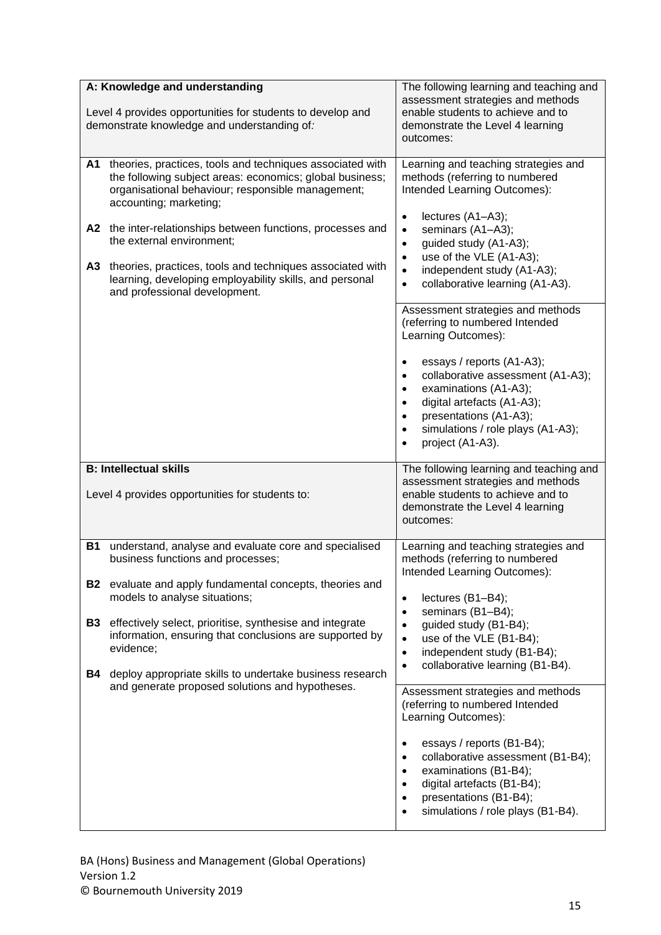|                                                  | A: Knowledge and understanding<br>Level 4 provides opportunities for students to develop and<br>demonstrate knowledge and understanding of:                                                                                                                                                                                                                                                                                                               | The following learning and teaching and<br>assessment strategies and methods<br>enable students to achieve and to<br>demonstrate the Level 4 learning<br>outcomes:                                                                                                                                                                                                                                                                                                                                                                                                                                                                                                                                                       |
|--------------------------------------------------|-----------------------------------------------------------------------------------------------------------------------------------------------------------------------------------------------------------------------------------------------------------------------------------------------------------------------------------------------------------------------------------------------------------------------------------------------------------|--------------------------------------------------------------------------------------------------------------------------------------------------------------------------------------------------------------------------------------------------------------------------------------------------------------------------------------------------------------------------------------------------------------------------------------------------------------------------------------------------------------------------------------------------------------------------------------------------------------------------------------------------------------------------------------------------------------------------|
| A1<br>A3                                         | theories, practices, tools and techniques associated with<br>the following subject areas: economics; global business;<br>organisational behaviour; responsible management;<br>accounting; marketing;<br>A2 the inter-relationships between functions, processes and<br>the external environment;<br>theories, practices, tools and techniques associated with<br>learning, developing employability skills, and personal<br>and professional development. | Learning and teaching strategies and<br>methods (referring to numbered<br>Intended Learning Outcomes):<br>lectures (A1-A3);<br>$\bullet$<br>seminars (A1-A3);<br>$\bullet$<br>guided study (A1-A3);<br>$\bullet$<br>use of the VLE (A1-A3);<br>$\bullet$<br>independent study (A1-A3);<br>$\bullet$<br>collaborative learning (A1-A3).<br>$\bullet$<br>Assessment strategies and methods<br>(referring to numbered Intended<br>Learning Outcomes):                                                                                                                                                                                                                                                                       |
|                                                  | <b>B: Intellectual skills</b>                                                                                                                                                                                                                                                                                                                                                                                                                             | essays / reports (A1-A3);<br>$\bullet$<br>collaborative assessment (A1-A3);<br>$\bullet$<br>examinations (A1-A3);<br>$\bullet$<br>digital artefacts (A1-A3);<br>$\bullet$<br>presentations (A1-A3);<br>$\bullet$<br>simulations / role plays (A1-A3);<br>$\bullet$<br>project (A1-A3).<br>$\bullet$<br>The following learning and teaching and                                                                                                                                                                                                                                                                                                                                                                           |
|                                                  | Level 4 provides opportunities for students to:                                                                                                                                                                                                                                                                                                                                                                                                           | assessment strategies and methods<br>enable students to achieve and to<br>demonstrate the Level 4 learning<br>outcomes:                                                                                                                                                                                                                                                                                                                                                                                                                                                                                                                                                                                                  |
| <b>B1</b><br><b>B2</b><br><b>B3</b><br><b>B4</b> | understand, analyse and evaluate core and specialised<br>business functions and processes;<br>evaluate and apply fundamental concepts, theories and<br>models to analyse situations;<br>effectively select, prioritise, synthesise and integrate<br>information, ensuring that conclusions are supported by<br>evidence;<br>deploy appropriate skills to undertake business research<br>and generate proposed solutions and hypotheses.                   | Learning and teaching strategies and<br>methods (referring to numbered<br>Intended Learning Outcomes):<br>lectures (B1-B4);<br>$\bullet$<br>seminars (B1-B4);<br>$\bullet$<br>guided study (B1-B4);<br>$\bullet$<br>use of the VLE (B1-B4);<br>$\bullet$<br>independent study (B1-B4);<br>$\bullet$<br>collaborative learning (B1-B4).<br>$\bullet$<br>Assessment strategies and methods<br>(referring to numbered Intended<br>Learning Outcomes):<br>essays / reports (B1-B4);<br>$\bullet$<br>collaborative assessment (B1-B4);<br>$\bullet$<br>examinations (B1-B4);<br>$\bullet$<br>digital artefacts (B1-B4);<br>$\bullet$<br>presentations (B1-B4);<br>$\bullet$<br>simulations / role plays (B1-B4).<br>$\bullet$ |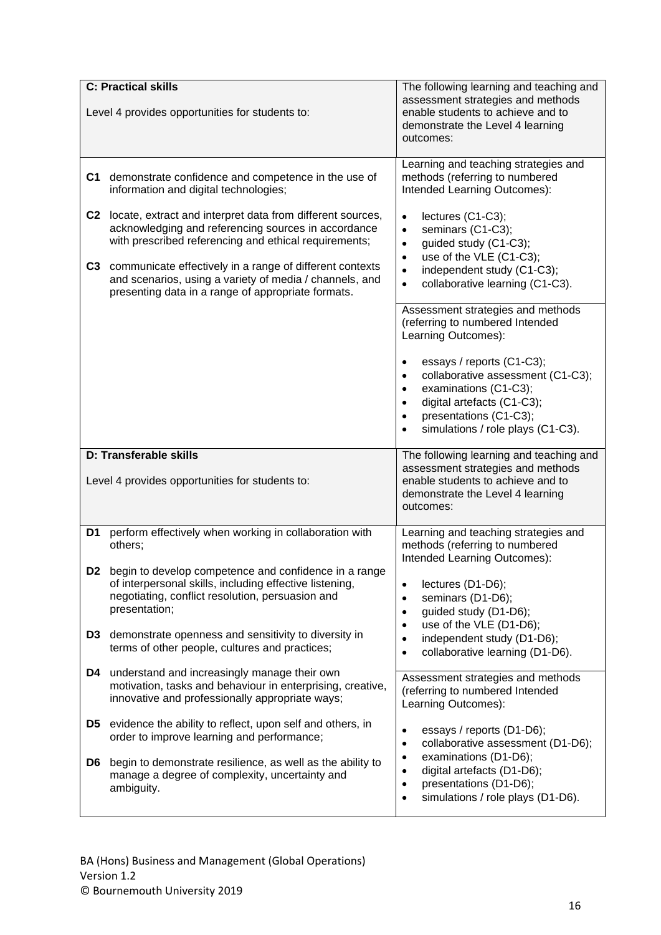|                | <b>C: Practical skills</b>                                                                                                                                                                                                                                                                                                                                 | The following learning and teaching and                                                                                                                                                                                                                                                                                                                           |
|----------------|------------------------------------------------------------------------------------------------------------------------------------------------------------------------------------------------------------------------------------------------------------------------------------------------------------------------------------------------------------|-------------------------------------------------------------------------------------------------------------------------------------------------------------------------------------------------------------------------------------------------------------------------------------------------------------------------------------------------------------------|
|                | Level 4 provides opportunities for students to:                                                                                                                                                                                                                                                                                                            | assessment strategies and methods<br>enable students to achieve and to<br>demonstrate the Level 4 learning<br>outcomes:                                                                                                                                                                                                                                           |
| C1             | demonstrate confidence and competence in the use of<br>information and digital technologies;                                                                                                                                                                                                                                                               | Learning and teaching strategies and<br>methods (referring to numbered<br>Intended Learning Outcomes):                                                                                                                                                                                                                                                            |
| C3             | C2 locate, extract and interpret data from different sources,<br>acknowledging and referencing sources in accordance<br>with prescribed referencing and ethical requirements;<br>communicate effectively in a range of different contexts<br>and scenarios, using a variety of media / channels, and<br>presenting data in a range of appropriate formats. | lectures (C1-C3);<br>$\bullet$<br>seminars (C1-C3);<br>$\bullet$<br>guided study (C1-C3);<br>$\bullet$<br>use of the VLE (C1-C3);<br>$\bullet$<br>independent study (C1-C3);<br>$\bullet$<br>collaborative learning (C1-C3).<br>$\bullet$                                                                                                                         |
|                |                                                                                                                                                                                                                                                                                                                                                            | Assessment strategies and methods<br>(referring to numbered Intended<br>Learning Outcomes):<br>essays / reports (C1-C3);<br>$\bullet$<br>collaborative assessment (C1-C3);<br>$\bullet$<br>examinations (C1-C3);<br>$\bullet$<br>digital artefacts (C1-C3);<br>$\bullet$<br>presentations (C1-C3);<br>$\bullet$<br>simulations / role plays (C1-C3).<br>$\bullet$ |
|                | D: Transferable skills<br>Level 4 provides opportunities for students to:                                                                                                                                                                                                                                                                                  | The following learning and teaching and<br>assessment strategies and methods<br>enable students to achieve and to<br>demonstrate the Level 4 learning                                                                                                                                                                                                             |
|                |                                                                                                                                                                                                                                                                                                                                                            | outcomes:                                                                                                                                                                                                                                                                                                                                                         |
| D1             | perform effectively when working in collaboration with<br>others;                                                                                                                                                                                                                                                                                          | Learning and teaching strategies and<br>methods (referring to numbered                                                                                                                                                                                                                                                                                            |
| D <sub>2</sub> | begin to develop competence and confidence in a range<br>of interpersonal skills, including effective listening,<br>negotiating, conflict resolution, persuasion and<br>presentation;                                                                                                                                                                      | Intended Learning Outcomes):<br>lectures (D1-D6);<br>٠<br>seminars (D1-D6);<br>$\bullet$<br>guided study (D1-D6);<br>$\bullet$<br>$\bullet$                                                                                                                                                                                                                       |
| D3             | demonstrate openness and sensitivity to diversity in<br>terms of other people, cultures and practices;                                                                                                                                                                                                                                                     | use of the VLE (D1-D6);<br>independent study (D1-D6);<br>$\bullet$<br>collaborative learning (D1-D6).<br>$\bullet$                                                                                                                                                                                                                                                |
| D4             | understand and increasingly manage their own<br>motivation, tasks and behaviour in enterprising, creative,<br>innovative and professionally appropriate ways;                                                                                                                                                                                              | Assessment strategies and methods<br>(referring to numbered Intended<br>Learning Outcomes):                                                                                                                                                                                                                                                                       |
| D5<br>D6       | evidence the ability to reflect, upon self and others, in<br>order to improve learning and performance;<br>begin to demonstrate resilience, as well as the ability to                                                                                                                                                                                      | essays / reports (D1-D6);<br>$\bullet$<br>collaborative assessment (D1-D6);<br>$\bullet$<br>examinations (D1-D6);<br>٠                                                                                                                                                                                                                                            |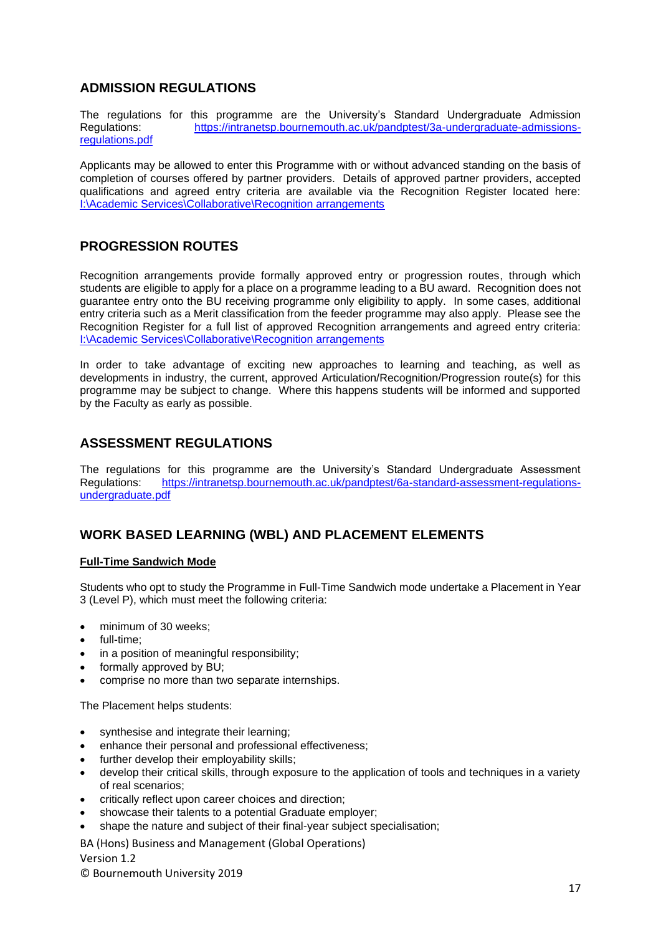## **ADMISSION REGULATIONS**

The regulations for this programme are the University's Standard Undergraduate Admission Regulations: [https://intranetsp.bournemouth.ac.uk/pandptest/3a-undergraduate-admissions](https://intranetsp.bournemouth.ac.uk/pandptest/3a-undergraduate-admissions-regulations.pdf)[regulations.pdf](https://intranetsp.bournemouth.ac.uk/pandptest/3a-undergraduate-admissions-regulations.pdf)

Applicants may be allowed to enter this Programme with or without advanced standing on the basis of completion of courses offered by partner providers. Details of approved partner providers, accepted qualifications and agreed entry criteria are available via the Recognition Register located here: [I:\Academic Services\Collaborative\Recognition arrangements](file://///Bournemouth.ac.uk/data/staff/IntraStore/Academic%20Services/Collaborative/Recognition%20arrangements)

## **PROGRESSION ROUTES**

Recognition arrangements provide formally approved entry or progression routes, through which students are eligible to apply for a place on a programme leading to a BU award. Recognition does not guarantee entry onto the BU receiving programme only eligibility to apply. In some cases, additional entry criteria such as a Merit classification from the feeder programme may also apply. Please see the Recognition Register for a full list of approved Recognition arrangements and agreed entry criteria: [I:\Academic Services\Collaborative\Recognition arrangements](file://///Bournemouth.ac.uk/data/staff/IntraStore/Academic%20Services/Collaborative/Recognition%20arrangements)

In order to take advantage of exciting new approaches to learning and teaching, as well as developments in industry, the current, approved Articulation/Recognition/Progression route(s) for this programme may be subject to change. Where this happens students will be informed and supported by the Faculty as early as possible.

## **ASSESSMENT REGULATIONS**

The regulations for this programme are the University's Standard Undergraduate Assessment Regulations: [https://intranetsp.bournemouth.ac.uk/pandptest/6a-standard-assessment-regulations](https://intranetsp.bournemouth.ac.uk/pandptest/6a-standard-assessment-regulations-undergraduate.pdf)[undergraduate.pdf](https://intranetsp.bournemouth.ac.uk/pandptest/6a-standard-assessment-regulations-undergraduate.pdf)

### **WORK BASED LEARNING (WBL) AND PLACEMENT ELEMENTS**

### **Full-Time Sandwich Mode**

Students who opt to study the Programme in Full-Time Sandwich mode undertake a Placement in Year 3 (Level P), which must meet the following criteria:

- minimum of 30 weeks;
- full-time;
- in a position of meaningful responsibility:
- formally approved by BU:
- comprise no more than two separate internships.

The Placement helps students:

- synthesise and integrate their learning;
- enhance their personal and professional effectiveness;
- further develop their employability skills;
- develop their critical skills, through exposure to the application of tools and techniques in a variety of real scenarios;
- critically reflect upon career choices and direction;
- showcase their talents to a potential Graduate employer;
- shape the nature and subject of their final-year subject specialisation;

BA (Hons) Business and Management (Global Operations)

#### Version 1.2

© Bournemouth University 2019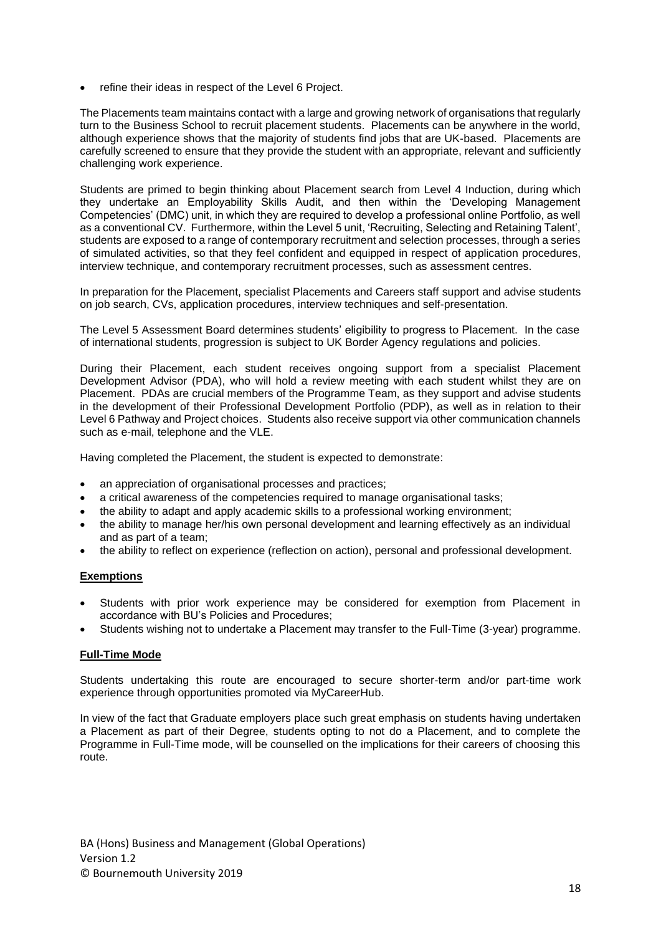refine their ideas in respect of the Level 6 Project.

The Placements team maintains contact with a large and growing network of organisations that regularly turn to the Business School to recruit placement students. Placements can be anywhere in the world, although experience shows that the majority of students find jobs that are UK-based. Placements are carefully screened to ensure that they provide the student with an appropriate, relevant and sufficiently challenging work experience.

Students are primed to begin thinking about Placement search from Level 4 Induction, during which they undertake an Employability Skills Audit, and then within the 'Developing Management Competencies' (DMC) unit, in which they are required to develop a professional online Portfolio, as well as a conventional CV. Furthermore, within the Level 5 unit, 'Recruiting, Selecting and Retaining Talent', students are exposed to a range of contemporary recruitment and selection processes, through a series of simulated activities, so that they feel confident and equipped in respect of application procedures, interview technique, and contemporary recruitment processes, such as assessment centres.

In preparation for the Placement, specialist Placements and Careers staff support and advise students on job search, CVs, application procedures, interview techniques and self-presentation.

The Level 5 Assessment Board determines students' eligibility to progress to Placement. In the case of international students, progression is subject to UK Border Agency regulations and policies.

During their Placement, each student receives ongoing support from a specialist Placement Development Advisor (PDA), who will hold a review meeting with each student whilst they are on Placement. PDAs are crucial members of the Programme Team, as they support and advise students in the development of their Professional Development Portfolio (PDP), as well as in relation to their Level 6 Pathway and Project choices. Students also receive support via other communication channels such as e-mail, telephone and the VLE.

Having completed the Placement, the student is expected to demonstrate:

- an appreciation of organisational processes and practices;
- a critical awareness of the competencies required to manage organisational tasks;
- the ability to adapt and apply academic skills to a professional working environment;
- the ability to manage her/his own personal development and learning effectively as an individual and as part of a team;
- the ability to reflect on experience (reflection on action), personal and professional development.

### **Exemptions**

- Students with prior work experience may be considered for exemption from Placement in accordance with BU's Policies and Procedures;
- Students wishing not to undertake a Placement may transfer to the Full-Time (3-year) programme.

### **Full-Time Mode**

Students undertaking this route are encouraged to secure shorter-term and/or part-time work experience through opportunities promoted via MyCareerHub.

In view of the fact that Graduate employers place such great emphasis on students having undertaken a Placement as part of their Degree, students opting to not do a Placement, and to complete the Programme in Full-Time mode, will be counselled on the implications for their careers of choosing this route.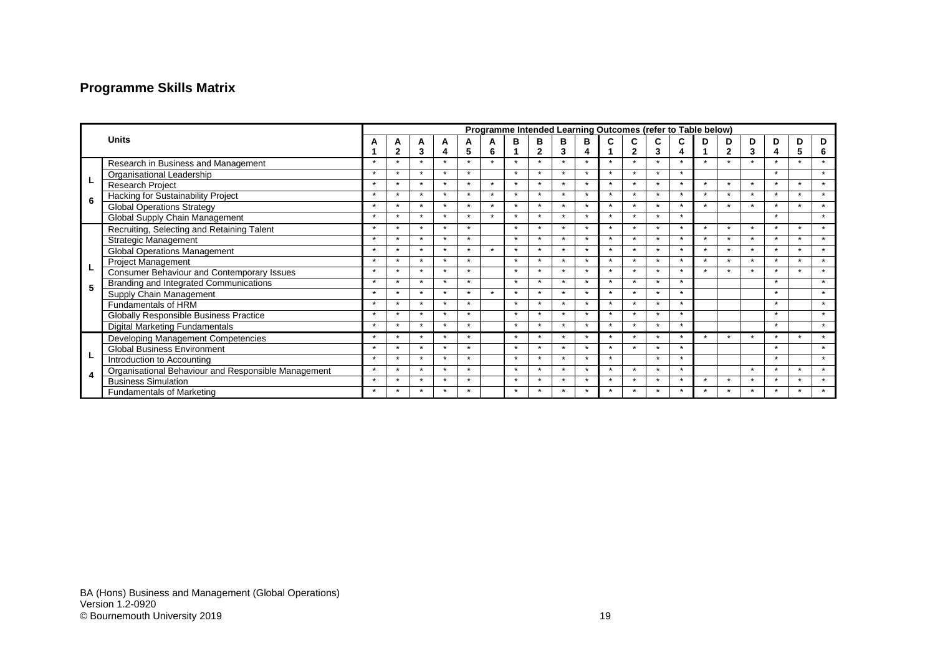# **Programme Skills Matrix**

|              |                                                     | Programme Intended Learning Outcomes (refer to Table below) |                          |                      |                          |                      |                          |                      |                          |                      |                      |                |                      |                          |                          |                      |                      |                      |                      |                      |                      |
|--------------|-----------------------------------------------------|-------------------------------------------------------------|--------------------------|----------------------|--------------------------|----------------------|--------------------------|----------------------|--------------------------|----------------------|----------------------|----------------|----------------------|--------------------------|--------------------------|----------------------|----------------------|----------------------|----------------------|----------------------|----------------------|
| <b>Units</b> |                                                     |                                                             | А                        | A                    | A                        | A                    | Α                        | в                    | в                        | в                    | в                    |                |                      |                          |                          |                      | D                    | D                    | D.                   | D                    | D                    |
|              |                                                     |                                                             | $\overline{2}$           | 3                    |                          | 5                    | 6                        |                      | $\mathbf{2}$             | 3                    |                      |                | 2                    | 3                        |                          |                      | $\mathbf{2}$         | 3                    |                      | 5                    | 6                    |
|              | Research in Business and Management                 | $\star$                                                     | $\star$                  | $\star$              | $\star$                  | $\star$              | $\star$                  | $\star$              | $\star$                  | $\star$              | $\star$              | $\star$        | $\star$              | $\star$                  | $\star$                  | $\star$              | $\star$              | $\star$              | $\star$              | $\star$              | $\star$              |
|              | Organisational Leadership                           | $\star$                                                     | $\star$                  | $\star$              | $\star$                  | $\star$              |                          | $\star$              | $\star$                  | $\star$              | $\star$              | $\star$        |                      | $\star$                  | $\star$                  |                      |                      |                      | $\star$              |                      | $\star$              |
|              | <b>Research Project</b>                             | $\overline{\phantom{a}}$                                    | $\star$                  | $\ddot{\phantom{0}}$ | $\overline{\phantom{a}}$ | $\star$              | $\ddot{\phantom{0}}$     | $\star$              | $\star$                  | $\overline{v}$       | $\star$              | $\star$        |                      | $\star$                  | $\star$                  |                      | $\star$              | $\star$              | $\star$              | $\ddot{\phantom{0}}$ | $\star$              |
| 6            | Hacking for Sustainability Project                  |                                                             | $\overline{ }$           |                      | $\ddot{\phantom{1}}$     | $\ddot{\phantom{0}}$ | $\overline{\phantom{a}}$ | $\ddot{\phantom{1}}$ |                          |                      | $\ddot{\phantom{1}}$ | $\overline{ }$ |                      | $\ddot{\phantom{0}}$     |                          |                      | $\ddot{\phantom{1}}$ | $\overline{v}$       |                      | $\ddot{\phantom{0}}$ | $\ddot{\phantom{1}}$ |
|              | <b>Global Operations Strategy</b>                   | $\ddot{\phantom{1}}$                                        | $\star$                  | $\ddot{\phantom{0}}$ | $\star$                  | $\star$              | $\ddot{\phantom{1}}$     | $\ddot{\phantom{1}}$ | $\ddot{\phantom{0}}$     |                      | $\star$              | $\star$        |                      | $\ddot{\phantom{0}}$     | $\star$                  |                      | $\star$              | $\ddot{\phantom{1}}$ | $\ddot{\phantom{1}}$ | $\star$              | $\star$              |
|              | Global Supply Chain Management                      | $\star$                                                     | $\overline{\phantom{a}}$ | $\ddot{\phantom{1}}$ | $\star$                  | $\ddot{\phantom{0}}$ | $\ddot{\phantom{1}}$     | $\ddot{\phantom{1}}$ | $\ddot{\phantom{0}}$     | $\ddot{\phantom{1}}$ | $\star$              | $\star$        |                      | $\star$                  | $\star$                  |                      |                      |                      | $\ddot{\phantom{1}}$ |                      | $\star$              |
|              | Recruiting, Selecting and Retaining Talent          | $\star$                                                     | $\star$                  | $\star$              | $\star$                  | $\star$              |                          | $\star$              | $\overline{\phantom{a}}$ |                      | $\star$              | $\star$        |                      | $\star$                  | $\overline{\phantom{a}}$ |                      | $\star$              | $\star$              | $\star$              | $\ddot{\phantom{0}}$ | $\star$              |
|              | <b>Strategic Management</b>                         | $\star$                                                     | $\star$                  | $\ddot{\phantom{1}}$ | $\star$                  | $\star$              |                          | $\star$              | $\star$                  | $\ddot{\phantom{1}}$ | $\star$              | $\star$        |                      | $\ddot{\phantom{0}}$     | $\star$                  |                      | $\star$              | $\star$              | $\star$              | $\star$              | $\star$              |
|              | <b>Global Operations Management</b>                 | $\star$                                                     | $\star$                  | $\star$              | $\star$                  | $\star$              | $\star$                  | $\star$              | $\star$                  | $\star$              | $\star$              | $\star$        | $\ddot{\phantom{1}}$ | $\star$                  | $\star$                  | $\star$              | $\star$              | $\star$              | $\star$              | $\star$              | $\star$              |
|              | <b>Project Management</b>                           | $\star$                                                     | $\star$                  | $\star$              | $\star$                  | $\star$              |                          | $\star$              | $\star$                  | $\star$              | $\star$              | $\star$        | $\star$              | $\star$                  | $\star$                  | $\star$              | $\star$              | $\star$              | $\star$              | $\star$              | $\star$              |
|              | Consumer Behaviour and Contemporary Issues          | $\ddot{\phantom{1}}$                                        | $\star$                  | $\star$              | $\star$                  | $\star$              |                          | $\star$              | $\star$                  | $\star$              | $\star$              | $\star$        | $\ddot{\phantom{1}}$ | $\overline{\phantom{a}}$ | ٠                        |                      | $\star$              | ÷                    | $\star$              | $\ddot{\phantom{1}}$ | $\star$              |
| 5            | Branding and Integrated Communications              | $\ddot{\phantom{1}}$                                        | $\star$                  | $\ddot{\phantom{0}}$ | $\star$                  | $\star$              |                          | $\star$              | $\ddot{\phantom{0}}$     | $\ddot{\phantom{1}}$ | $\star$              | $\star$        |                      | $\star$                  |                          |                      |                      |                      | $\star$              |                      | $\ddot{\phantom{1}}$ |
|              | Supply Chain Management                             | $\star$                                                     | $\star$                  | $\star$              | $\star$                  | $\star$              | $\star$                  | $\star$              | $\star$                  | $\star$              | $\star$              | $\star$        | $\ddot{\phantom{1}}$ | $\star$                  | $\star$                  |                      |                      |                      | $\star$              |                      | $\star$              |
|              | Fundamentals of HRM                                 | $\star$                                                     | $\star$                  | $\ddot{\phantom{1}}$ | $\star$                  | $\star$              |                          | $\star$              | $\star$                  | $\star$              | $\star$              | $\star$        | $\ddot{\phantom{1}}$ | $\star$                  | $\ddot{\phantom{1}}$     |                      |                      |                      | $\star$              |                      | $\star$              |
|              | Globally Responsible Business Practice              | $\star$                                                     | $\star$                  | $\ddot{\phantom{1}}$ | $\star$                  | $\star$              |                          | $\star$              | $\star$                  | $\ddot{\phantom{1}}$ | $\star$              | $\star$        |                      | $\ddot{\phantom{0}}$     | $\star$                  |                      |                      |                      | $\star$              |                      | $\star$              |
|              | Digital Marketing Fundamentals                      | $\star$                                                     | $\star$                  | $\star$              | $\star$                  | $\star$              |                          | $\star$              | $\star$                  | $\star$              | $\star$              | $\star$        |                      | $\star$                  | $\star$                  |                      |                      |                      | $\star$              |                      | $\star$              |
|              | Developing Management Competencies                  | $\star$                                                     | $\star$                  | $\star$              | $\star$                  | $\star$              |                          | $\star$              | $\star$                  | $\star$              | $\star$              | $\star$        |                      | $\star$                  | $\star$                  | $\star$              | $\star$              | $\star$              | $\star$              | $\star$              | $\star$              |
|              | <b>Global Business Environment</b>                  | $\star$                                                     | $\star$                  | $\ddot{\phantom{1}}$ | $\star$                  | $\star$              |                          | $\star$              | $\star$                  | $\star$              | $\star$              | $\star$        | $\ddot{\phantom{1}}$ | $\star$                  | $\ddot{\phantom{1}}$     |                      |                      |                      | $\star$              |                      | $\star$              |
|              | <b>Introduction to Accounting</b>                   | $\star$                                                     | $\star$                  |                      | $\star$                  | $\star$              |                          | $\star$              |                          |                      | $\star$              | $\star$        |                      | $\star$                  | $\star$                  |                      |                      |                      |                      |                      | $\star$              |
|              | Organisational Behaviour and Responsible Management | $\ddot{}$                                                   | $\star$                  | $\star$              | $\overline{\phantom{a}}$ | $\star$              |                          | $\star$              | $\star$                  |                      | $\star$              | $\star$        |                      | $\ddot{\phantom{0}}$     | $\star$                  |                      |                      | $\star$              |                      | $\star$              | $\star$              |
|              | <b>Business Simulation</b>                          | $\star$                                                     | $\ddot{\phantom{0}}$     | $\ddot{\phantom{1}}$ | $\star$                  | $\star$              |                          | $\star$              | $\ddot{\phantom{0}}$     | $\ddot{\phantom{1}}$ | $\star$              | $\star$        |                      | $\star$                  | $\ddot{\phantom{1}}$     | $\ddot{\phantom{1}}$ | $\star$              | $\ddot{\phantom{1}}$ | $\ddot{\phantom{1}}$ | $\ddot{\phantom{1}}$ | $\star$              |
|              | <b>Fundamentals of Marketing</b>                    | $\star$                                                     | $\star$                  |                      | $\star$                  | $\star$              |                          | $\star$              | $\star$                  | $\star$              | $\star$              | $\star$        |                      | $\star$                  | $\star$                  | $\star$              | $\star$              | $\star$              | $\star$              | $\star$              | $\star$              |